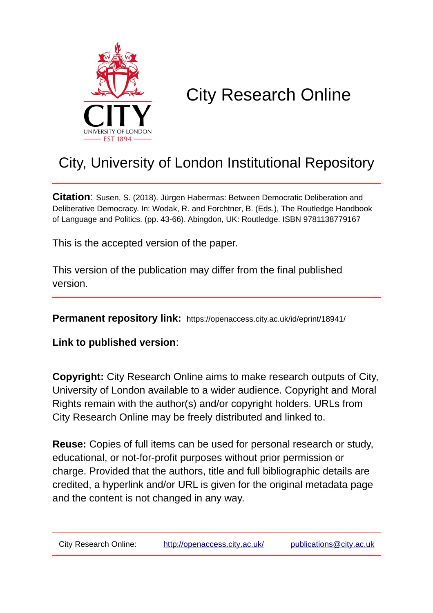

# City Research Online

## City, University of London Institutional Repository

**Citation**: Susen, S. (2018). Jürgen Habermas: Between Democratic Deliberation and Deliberative Democracy. In: Wodak, R. and Forchtner, B. (Eds.), The Routledge Handbook of Language and Politics. (pp. 43-66). Abingdon, UK: Routledge. ISBN 9781138779167

This is the accepted version of the paper.

This version of the publication may differ from the final published version.

**Permanent repository link:** https://openaccess.city.ac.uk/id/eprint/18941/

**Link to published version**:

**Copyright:** City Research Online aims to make research outputs of City, University of London available to a wider audience. Copyright and Moral Rights remain with the author(s) and/or copyright holders. URLs from City Research Online may be freely distributed and linked to.

**Reuse:** Copies of full items can be used for personal research or study, educational, or not-for-profit purposes without prior permission or charge. Provided that the authors, title and full bibliographic details are credited, a hyperlink and/or URL is given for the original metadata page and the content is not changed in any way.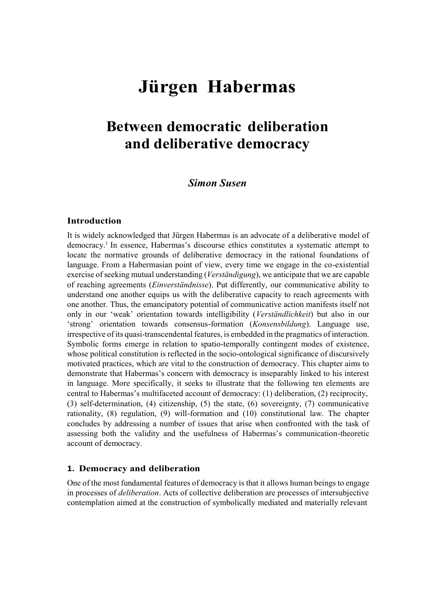## **Jürgen Habermas**

### **Between democratic deliberation and deliberative democracy**

#### *Simon Susen*

#### **Introduction**

It is widely acknowledged that Jürgen Habermas is an advocate of a deliberative model of democracy.<sup>1</sup>In essence, Habermas's discourse ethics constitutes a systematic attempt to locate the normative grounds of deliberative democracy in the rational foundations of language. From a Habermasian point of view, every time we engage in the co-existential exercise of seeking mutual understanding (*Verständigung*), we anticipate that we are capable of reaching agreements (*Einverständnisse*). Put differently, our communicative ability to understand one another equips us with the deliberative capacity to reach agreements with one another. Thus, the emancipatory potential of communicative action manifests itself not only in our 'weak' orientation towards intelligibility (*Verständlichkeit*) but also in our 'strong' orientation towards consensus-formation (*Konsensbildung*). Language use, irrespective of its quasi-transcendental features, is embedded in the pragmatics of interaction. Symbolic forms emerge in relation to spatio-temporally contingent modes of existence, whose political constitution is reflected in the socio-ontological significance of discursively motivated practices, which are vital to the construction of democracy. This chapter aims to demonstrate that Habermas's concern with democracy is inseparably linked to his interest in language. More specifically, it seeks to illustrate that the following ten elements are central to Habermas's multifaceted account of democracy: (1) deliberation, (2) reciprocity, (3) self-determination, (4) citizenship, (5) the state, (6) sovereignty, (7) communicative rationality, (8) regulation, (9) will-formation and (10) constitutional law. The chapter concludes by addressing a number of issues that arise when confronted with the task of assessing both the validity and the usefulness of Habermas's communication-theoretic account of democracy.

#### **1. Democracy and deliberation**

One of the most fundamental features of democracy is that it allows human beings to engage in processes of *deliberation*. Acts of collective deliberation are processes of intersubjective contemplation aimed at the construction of symbolically mediated and materially relevant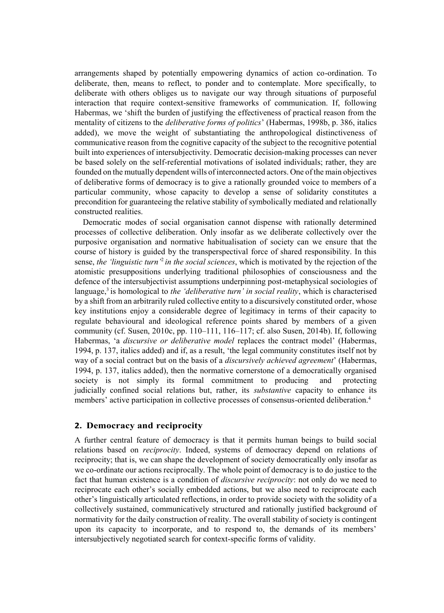arrangements shaped by potentially empowering dynamics of action co-ordination. To deliberate, then, means to reflect, to ponder and to contemplate. More specifically, to deliberate with others obliges us to navigate our way through situations of purposeful interaction that require context-sensitive frameworks of communication. If, following Habermas, we 'shift the burden of justifying the effectiveness of practical reason from the mentality of citizens to the *deliberative forms of politics*' (Habermas, 1998b, p. 386, italics added), we move the weight of substantiating the anthropological distinctiveness of communicative reason from the cognitive capacity of the subject to the recognitive potential built into experiences of intersubjectivity. Democratic decision-making processes can never be based solely on the self-referential motivations of isolated individuals; rather, they are founded on the mutually dependent wills ofinterconnected actors. One ofthe main objectives of deliberative forms of democracy is to give a rationally grounded voice to members of a particular community, whose capacity to develop a sense of solidarity constitutes a precondition for guaranteeing the relative stability of symbolically mediated and relationally constructed realities.

Democratic modes of social organisation cannot dispense with rationally determined processes of collective deliberation. Only insofar as we deliberate collectively over the purposive organisation and normative habitualisation of society can we ensure that the course of history is guided by the transperspectival force of shared responsibility. In this sense, *the 'linguistic turn'*<sup>2</sup> *in the social sciences*, which is motivated by the rejection of the atomistic presuppositions underlying traditional philosophies of consciousness and the defence of the intersubjectivist assumptions underpinning post-metaphysical sociologies of language,<sup>3</sup> is homological to *the 'deliberative turn' in social reality*, which is characterised by a shift from an arbitrarily ruled collective entity to a discursively constituted order, whose key institutions enjoy a considerable degree of legitimacy in terms of their capacity to regulate behavioural and ideological reference points shared by members of a given community (cf. Susen, 2010c, pp. 110–111, 116–117; cf. also Susen, 2014b). If, following Habermas, 'a *discursive or deliberative model* replaces the contract model' (Habermas, 1994, p. 137, italics added) and if, as a result, 'the legal community constitutes itself not by way of a social contract but on the basis of a *discursively achieved agreement*' (Habermas, 1994, p. 137, italics added), then the normative cornerstone of a democratically organised society is not simply its formal commitment to producing and protecting judicially confined social relations but, rather, its *substantive* capacity to enhance its members' active participation in collective processes of consensus-oriented deliberation.<sup>4</sup>

#### **2. Democracy and reciprocity**

A further central feature of democracy is that it permits human beings to build social relations based on *reciprocity*. Indeed, systems of democracy depend on relations of reciprocity; that is, we can shape the development of society democratically only insofar as we co-ordinate our actions reciprocally. The whole point of democracy is to do justice to the fact that human existence is a condition of *discursive reciprocity*: not only do we need to reciprocate each other's socially embedded actions, but we also need to reciprocate each other's linguistically articulated reflections, in order to provide society with the solidity of a collectively sustained, communicatively structured and rationally justified background of normativity for the daily construction of reality. The overall stability of society is contingent upon its capacity to incorporate, and to respond to, the demands of its members' intersubjectively negotiated search for context-specific forms of validity.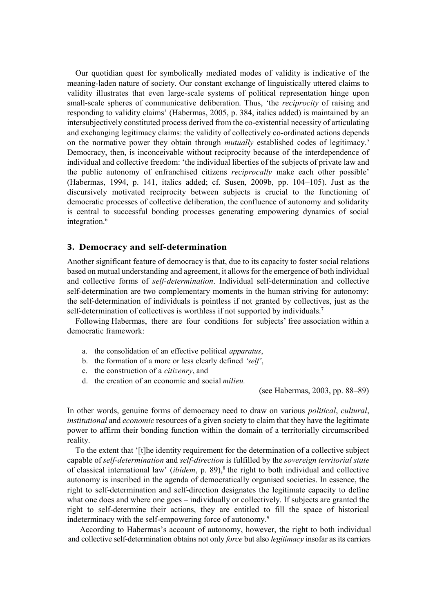Our quotidian quest for symbolically mediated modes of validity is indicative of the meaning-laden nature of society. Our constant exchange of linguistically uttered claims to validity illustrates that even large-scale systems of political representation hinge upon small-scale spheres of communicative deliberation. Thus, 'the *reciprocity* of raising and responding to validity claims' (Habermas, 2005, p. 384, italics added) is maintained by an intersubjectively constituted process derived from the co-existential necessity of articulating and exchanging legitimacy claims: the validity of collectively co-ordinated actions depends on the normative power they obtain through *mutually* established codes of legitimacy.<sup>5</sup> Democracy, then, is inconceivable without reciprocity because of the interdependence of individual and collective freedom: 'the individual liberties of the subjects of private law and the public autonomy of enfranchised citizens *reciprocally* make each other possible' (Habermas, 1994, p. 141, italics added; cf. Susen, 2009b, pp. 104–105). Just as the discursively motivated reciprocity between subjects is crucial to the functioning of democratic processes of collective deliberation, the confluence of autonomy and solidarity is central to successful bonding processes generating empowering dynamics of social integration.<sup>6</sup>

#### **3. Democracy and self-determination**

Another significant feature of democracy is that, due to its capacity to foster social relations based on mutual understanding and agreement, it allowsfor the emergence of both individual and collective forms of *self-determination*. Individual self-determination and collective self-determination are two complementary moments in the human striving for autonomy: the self-determination of individuals is pointless if not granted by collectives, just as the self-determination of collectives is worthless if not supported by individuals.<sup>7</sup>

Following Habermas, there are four conditions for subjects' free association within a democratic framework:

- a. the consolidation of an effective political *apparatus*,
- b. the formation of a more or less clearly defined *'self'*,
- c. the construction of a *citizenry*, and
- d. the creation of an economic and social *milieu.*

(see Habermas, 2003, pp. 88–89)

In other words, genuine forms of democracy need to draw on various *political*, *cultural*, *institutional* and *economic* resources of a given society to claim that they have the legitimate power to affirm their bonding function within the domain of a territorially circumscribed reality.

To the extent that '[t]he identity requirement for the determination of a collective subject capable of *self-determination* and *self-direction* is fulfilled by the *sovereign territorial state*  of classical international law' (*ibidem*, p. 89),<sup>8</sup> the right to both individual and collective autonomy is inscribed in the agenda of democratically organised societies. In essence, the right to self-determination and self-direction designates the legitimate capacity to define what one does and where one goes – individually or collectively. If subjects are granted the right to self-determine their actions, they are entitled to fill the space of historical indeterminacy with the self-empowering force of autonomy.<sup>9</sup>

According to Habermas's account of autonomy, however, the right to both individual and collective self-determination obtains not only *force* but also *legitimacy* insofar as its carriers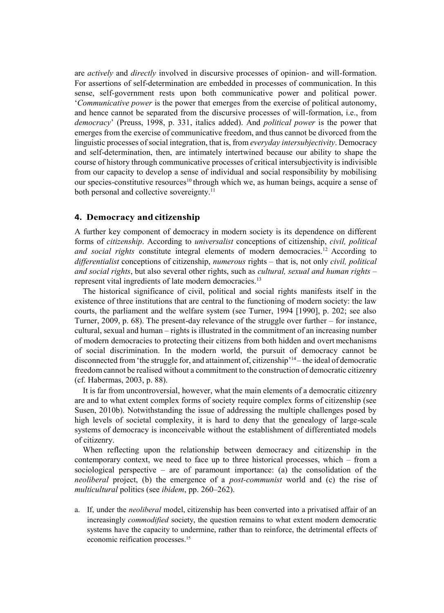are *actively* and *directly* involved in discursive processes of opinion- and will-formation. For assertions of self-determination are embedded in processes of communication. In this sense, self-government rests upon both communicative power and political power. '*Communicative power* is the power that emerges from the exercise of political autonomy, and hence cannot be separated from the discursive processes of will-formation, i.e., from *democracy*' (Preuss, 1998, p. 331, italics added). And *political power* is the power that emerges from the exercise of communicative freedom, and thus cannot be divorced from the linguistic processes ofsocial integration, that is, from *everyday intersubjectivity*. Democracy and self-determination, then, are intimately intertwined because our ability to shape the course of history through communicative processes of critical intersubjectivity is indivisible from our capacity to develop a sense of individual and social responsibility by mobilising our species-constitutive resources<sup>10</sup> through which we, as human beings, acquire a sense of both personal and collective sovereignty.<sup>11</sup>

#### **4. Democracy and citizenship**

A further key component of democracy in modern society is its dependence on different forms of *citizenship*. According to *universalist* conceptions of citizenship, *civil, political and social rights* constitute integral elements of modern democracies.<sup>12</sup> According to *differentialist* conceptions of citizenship, *numerous* rights – that is, not only *civil, political and social rights*, but also several other rights, such as *cultural, sexual and human rights* – represent vital ingredients of late modern democracies.<sup>13</sup>

The historical significance of civil, political and social rights manifests itself in the existence of three institutions that are central to the functioning of modern society: the law courts, the parliament and the welfare system (see Turner, 1994 [1990], p. 202; see also Turner, 2009, p. 68). The present-day relevance of the struggle over further – for instance, cultural, sexual and human – rights is illustrated in the commitment of an increasing number of modern democracies to protecting their citizens from both hidden and overt mechanisms of social discrimination. In the modern world, the pursuit of democracy cannot be disconnected from 'the struggle for, and attainment of, citizenship'<sup>14</sup> – the ideal of democratic freedom cannot be realised without a commitment to the construction of democratic citizenry (cf. Habermas, 2003, p. 88).

It is far from uncontroversial, however, what the main elements of a democratic citizenry are and to what extent complex forms of society require complex forms of citizenship (see Susen, 2010b). Notwithstanding the issue of addressing the multiple challenges posed by high levels of societal complexity, it is hard to deny that the genealogy of large-scale systems of democracy is inconceivable without the establishment of differentiated models of citizenry.

When reflecting upon the relationship between democracy and citizenship in the contemporary context, we need to face up to three historical processes, which – from a sociological perspective – are of paramount importance: (a) the consolidation of the *neoliberal* project, (b) the emergence of a *post-communist* world and (c) the rise of *multicultural* politics (see *ibidem*, pp. 260–262).

a. If, under the *neoliberal* model, citizenship has been converted into a privatised affair of an increasingly *commodified* society, the question remains to what extent modern democratic systems have the capacity to undermine, rather than to reinforce, the detrimental effects of economic reification processes.<sup>15</sup>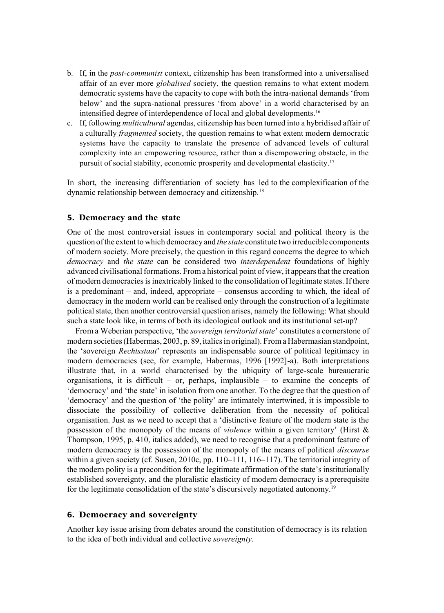- b. If, in the *post-communist* context, citizenship has been transformed into a universalised affair of an ever more *globalised* society, the question remains to what extent modern democratic systems have the capacity to cope with both the intra-national demands 'from below' and the supra-national pressures 'from above' in a world characterised by an intensified degree of interdependence of local and global developments.<sup>16</sup>
- c. If, following *multicultural* agendas, citizenship has been turned into a hybridised affair of a culturally *fragmented* society, the question remains to what extent modern democratic systems have the capacity to translate the presence of advanced levels of cultural complexity into an empowering resource, rather than a disempowering obstacle, in the pursuit of social stability, economic prosperity and developmental elasticity.<sup>17</sup>

In short, the increasing differentiation of society has led to the complexification of the dynamic relationship between democracy and citizenship.<sup>18</sup>

#### **5. Democracy and the state**

One of the most controversial issues in contemporary social and political theory is the question ofthe extent to which democracy and *the state* constitute two irreducible components of modern society. More precisely, the question in this regard concerns the degree to which *democracy* and *the state* can be considered two *interdependent* foundations of highly advanced civilisational formations. From a historical point of view, it appears that the creation of modern democraciesisinextricably linked to the consolidation of legitimate states. If there is a predominant – and, indeed, appropriate – consensus according to which, the ideal of democracy in the modern world can be realised only through the construction of a legitimate political state, then another controversial question arises, namely the following: What should such a state look like, in terms of both its ideological outlook and its institutional set-up?

From a Weberian perspective, 'the *sovereign territorial state*' constitutes a cornerstone of modern societies(Habermas, 2003, p. 89, italicsin original). Froma Habermasian standpoint, the 'sovereign *Rechtsstaat*' represents an indispensable source of political legitimacy in modern democracies (see, for example, Habermas, 1996 [1992]-a). Both interpretations illustrate that, in a world characterised by the ubiquity of large-scale bureaucratic organisations, it is difficult – or, perhaps, implausible – to examine the concepts of 'democracy' and 'the state' in isolation from one another. To the degree that the question of 'democracy' and the question of 'the polity' are intimately intertwined, it is impossible to dissociate the possibility of collective deliberation from the necessity of political organisation. Just as we need to accept that a 'distinctive feature of the modern state is the possession of the monopoly of the means of *violence* within a given territory' (Hirst & Thompson, 1995, p. 410, italics added), we need to recognise that a predominant feature of modern democracy is the possession of the monopoly of the means of political *discourse*  within a given society (cf. Susen, 2010c, pp. 110–111, 116–117). The territorial integrity of the modern polity is a precondition for the legitimate affirmation of the state's institutionally established sovereignty, and the pluralistic elasticity of modern democracy is a prerequisite for the legitimate consolidation of the state's discursively negotiated autonomy.<sup>19</sup>

#### **6. Democracy and sovereignty**

Another key issue arising from debates around the constitution of democracy is its relation to the idea of both individual and collective *sovereignty*.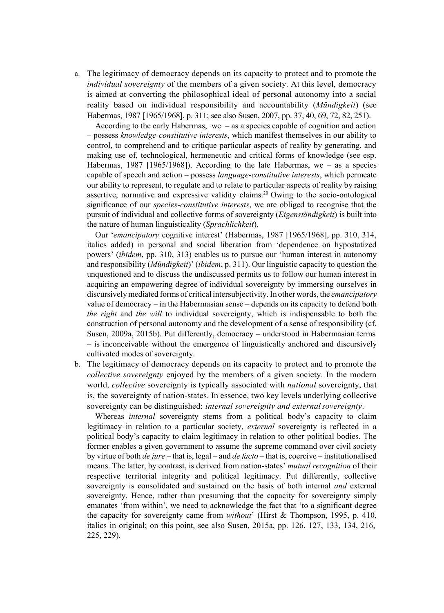a. The legitimacy of democracy depends on its capacity to protect and to promote the *individual sovereignty* of the members of a given society. At this level, democracy is aimed at converting the philosophical ideal of personal autonomy into a social reality based on individual responsibility and accountability (*Mündigkeit*) (see Habermas, 1987 [1965/1968], p. 311; see also Susen, 2007, pp. 37, 40, 69, 72, 82, 251).

According to the early Habermas, we  $-$  as a species capable of cognition and action – possess *knowledge-constitutive interests*, which manifest themselves in our ability to control, to comprehend and to critique particular aspects of reality by generating, and making use of, technological, hermeneutic and critical forms of knowledge (see esp. Habermas, 1987 [1965/1968]). According to the late Habermas, we – as a species capable of speech and action – possess *language-constitutive interests*, which permeate our ability to represent, to regulate and to relate to particular aspects of reality by raising assertive, normative and expressive validity claims.<sup>20</sup> Owing to the socio-ontological significance of our *species-constitutive interests*, we are obliged to recognise that the pursuit of individual and collective forms of sovereignty (*Eigenständigkeit*) is built into the nature of human linguisticality (*Sprachlichkeit*).

Our '*emancipatory* cognitive interest' (Habermas, 1987 [1965/1968], pp. 310, 314, italics added) in personal and social liberation from 'dependence on hypostatized powers' (*ibidem*, pp. 310, 313) enables us to pursue our 'human interest in autonomy and responsibility (*Mündigkeit*)' (*ibidem*, p. 311). Our linguistic capacity to question the unquestioned and to discuss the undiscussed permits us to follow our human interest in acquiring an empowering degree of individual sovereignty by immersing ourselves in discursivelymediated forms of critical intersubjectivity. In other words, the *emancipatory*  value of democracy – in the Habermasian sense – depends on its capacity to defend both *the right and the will to individual sovereignty, which is indispensable to both the* construction of personal autonomy and the development of a sense of responsibility (cf. Susen, 2009a, 2015b). Put differently, democracy – understood in Habermasian terms – is inconceivable without the emergence of linguistically anchored and discursively cultivated modes of sovereignty.

b. The legitimacy of democracy depends on its capacity to protect and to promote the *collective sovereignty* enjoyed by the members of a given society. In the modern world, *collective* sovereignty is typically associated with *national* sovereignty, that is, the sovereignty of nation-states. In essence, two key levels underlying collective sovereignty can be distinguished: *internal sovereignty and externalsovereignty*.

Whereas *internal* sovereignty stems from a political body's capacity to claim legitimacy in relation to a particular society, *external* sovereignty is reflected in a political body's capacity to claim legitimacy in relation to other political bodies. The former enables a given government to assume the supreme command over civil society by virtue of both *de jure* – that is, legal – and *de facto* – that is, coercive – institutionalised means. The latter, by contrast, is derived from nation-states' *mutual recognition* of their respective territorial integrity and political legitimacy. Put differently, collective sovereignty is consolidated and sustained on the basis of both internal *and* external sovereignty. Hence, rather than presuming that the capacity for sovereignty simply emanates 'from within', we need to acknowledge the fact that 'to a significant degree the capacity for sovereignty came from *without*' (Hirst & Thompson, 1995, p. 410, italics in original; on this point, see also Susen, 2015a, pp. 126, 127, 133, 134, 216, 225, 229).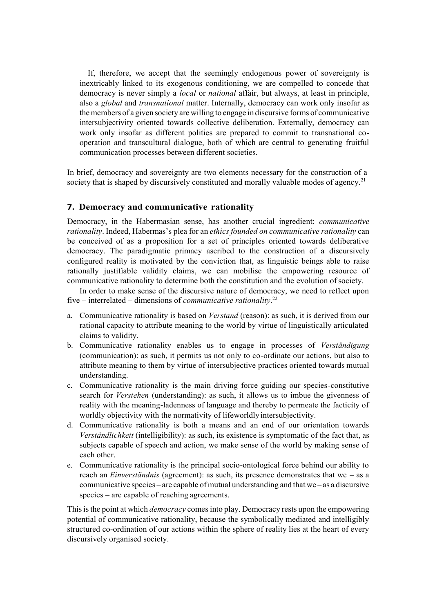If, therefore, we accept that the seemingly endogenous power of sovereignty is inextricably linked to its exogenous conditioning, we are compelled to concede that democracy is never simply a *local* or *national* affair, but always, at least in principle, also a *global* and *transnational* matter. Internally, democracy can work only insofar as the members of a given society are willing to engage in discursive forms of communicative intersubjectivity oriented towards collective deliberation. Externally, democracy can work only insofar as different polities are prepared to commit to transnational cooperation and transcultural dialogue, both of which are central to generating fruitful communication processes between different societies.

In brief, democracy and sovereignty are two elements necessary for the construction of a society that is shaped by discursively constituted and morally valuable modes of agency.<sup>21</sup>

#### **7. Democracy and communicative rationality**

Democracy, in the Habermasian sense, has another crucial ingredient: *communicative rationality*. Indeed, Habermas's plea for an *ethics founded on communicative rationality* can be conceived of as a proposition for a set of principles oriented towards deliberative democracy. The paradigmatic primacy ascribed to the construction of a discursively configured reality is motivated by the conviction that, as linguistic beings able to raise rationally justifiable validity claims, we can mobilise the empowering resource of communicative rationality to determine both the constitution and the evolution ofsociety.

In order to make sense of the discursive nature of democracy, we need to reflect upon five – interrelated – dimensions of *communicative rationality*. 22

- a. Communicative rationality is based on *Verstand* (reason): as such, it is derived from our rational capacity to attribute meaning to the world by virtue of linguistically articulated claims to validity.
- b. Communicative rationality enables us to engage in processes of *Verständigung*  (communication): as such, it permits us not only to co-ordinate our actions, but also to attribute meaning to them by virtue of intersubjective practices oriented towards mutual understanding.
- c. Communicative rationality is the main driving force guiding our species-constitutive search for *Verstehen* (understanding): as such, it allows us to imbue the givenness of reality with the meaning-ladenness of language and thereby to permeate the facticity of worldly objectivity with the normativity of lifeworldly intersubjectivity.
- d. Communicative rationality is both a means and an end of our orientation towards *Verständlichkeit* (intelligibility): as such, its existence is symptomatic of the fact that, as subjects capable of speech and action, we make sense of the world by making sense of each other.
- e. Communicative rationality is the principal socio-ontological force behind our ability to reach an *Einverständnis* (agreement): as such, its presence demonstrates that we – as a communicative species – are capable of mutual understanding and that we – as a discursive species – are capable of reaching agreements.

This is the point at which *democracy* comes into play. Democracy rests upon the empowering potential of communicative rationality, because the symbolically mediated and intelligibly structured co-ordination of our actions within the sphere of reality lies at the heart of every discursively organised society.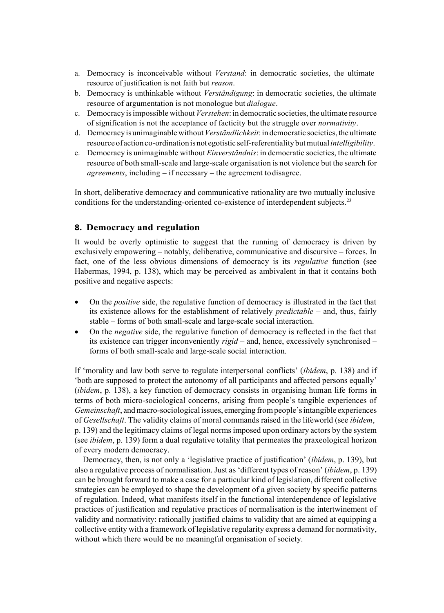- a. Democracy is inconceivable without *Verstand*: in democratic societies, the ultimate resource of justification is not faith but *reason*.
- b. Democracy is unthinkable without *Verständigung*: in democratic societies, the ultimate resource of argumentation is not monologue but *dialogue*.
- c. Democracy isimpossible without*Verstehen*: in democratic societies, the ultimate resource of signification is not the acceptance of facticity but the struggle over *normativity*.
- d. Democracy is unimaginable without*Verständlichkeit*:in democratic societies, the ultimate resource of action co-ordination is not egotistic self-referentiality but mutual *intelligibility*.
- e. Democracy is unimaginable without *Einverständnis*: in democratic societies, the ultimate resource of both small-scale and large-scale organisation is not violence but the search for *agreements*, including – if necessary – the agreement todisagree.

In short, deliberative democracy and communicative rationality are two mutually inclusive conditions for the understanding-oriented co-existence of interdependent subjects.<sup>23</sup>

#### **8. Democracy and regulation**

It would be overly optimistic to suggest that the running of democracy is driven by exclusively empowering – notably, deliberative, communicative and discursive – forces. In fact, one of the less obvious dimensions of democracy is its *regulative* function (see Habermas, 1994, p. 138), which may be perceived as ambivalent in that it contains both positive and negative aspects:

- On the *positive* side, the regulative function of democracy is illustrated in the fact that its existence allows for the establishment of relatively *predictable* – and, thus, fairly stable – forms of both small-scale and large-scale social interaction.
- On the *negative* side, the regulative function of democracy is reflected in the fact that its existence can trigger inconveniently *rigid* – and, hence, excessively synchronised – forms of both small-scale and large-scale social interaction.

If 'morality and law both serve to regulate interpersonal conflicts' (*ibidem*, p. 138) and if 'both are supposed to protect the autonomy of all participants and affected persons equally' (*ibidem*, p. 138), a key function of democracy consists in organising human life forms in terms of both micro-sociological concerns, arising from people's tangible experiences of *Gemeinschaft*, and macro-sociological issues, emerging frompeople'sintangible experiences of *Gesellschaft*. The validity claims of moral commands raised in the lifeworld (see *ibidem*, p. 139) and the legitimacy claims of legal norms imposed upon ordinary actors by the system (see *ibidem*, p. 139) form a dual regulative totality that permeates the praxeological horizon of every modern democracy.

Democracy, then, is not only a 'legislative practice of justification' (*ibidem*, p. 139), but also a regulative process of normalisation. Just as 'different types of reason' (*ibidem*, p. 139) can be brought forward to make a case for a particular kind of legislation, different collective strategies can be employed to shape the development of a given society by specific patterns of regulation. Indeed, what manifests itself in the functional interdependence of legislative practices of justification and regulative practices of normalisation is the intertwinement of validity and normativity: rationally justified claims to validity that are aimed at equipping a collective entity with a framework of legislative regularity express a demand for normativity, without which there would be no meaningful organisation of society.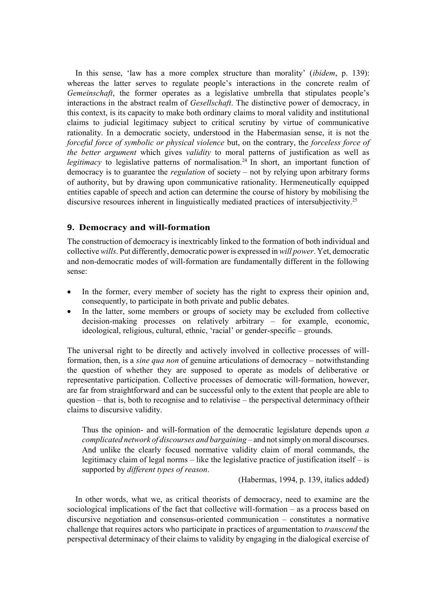In this sense, 'law has a more complex structure than morality' (*ibidem*, p. 139): whereas the latter serves to regulate people's interactions in the concrete realm of *Gemeinschaft*, the former operates as a legislative umbrella that stipulates people's interactions in the abstract realm of *Gesellschaft*. The distinctive power of democracy, in this context, is its capacity to make both ordinary claims to moral validity and institutional claims to judicial legitimacy subject to critical scrutiny by virtue of communicative rationality. In a democratic society, understood in the Habermasian sense, it is not the *forceful force of symbolic or physical violence* but, on the contrary, the *forceless force of the better argument* which gives *validity* to moral patterns of justification as well as *legitimacy* to legislative patterns of normalisation.<sup>24</sup> In short, an important function of democracy is to guarantee the *regulation* of society – not by relying upon arbitrary forms of authority, but by drawing upon communicative rationality. Hermeneutically equipped entities capable of speech and action can determine the course of history by mobilising the discursive resources inherent in linguistically mediated practices of intersubjectivity.<sup>25</sup>

#### **9. Democracy and will-formation**

The construction of democracy is inextricably linked to the formation of both individual and collective *wills*. Put differently, democratic power is expressed in*will power*. Yet, democratic and non-democratic modes of will-formation are fundamentally different in the following sense:

- In the former, every member of society has the right to express their opinion and, consequently, to participate in both private and public debates.
- In the latter, some members or groups of society may be excluded from collective decision-making processes on relatively arbitrary – for example, economic, ideological, religious, cultural, ethnic, 'racial' or gender-specific – grounds.

The universal right to be directly and actively involved in collective processes of willformation, then, is a *sine qua non* of genuine articulations of democracy – notwithstanding the question of whether they are supposed to operate as models of deliberative or representative participation. Collective processes of democratic will-formation, however, are far from straightforward and can be successful only to the extent that people are able to question – that is, both to recognise and to relativise – the perspectival determinacy oftheir claims to discursive validity.

Thus the opinion- and will-formation of the democratic legislature depends upon *a complicated network of discourses and bargaining* – and notsimply on moral discourses. And unlike the clearly focused normative validity claim of moral commands, the legitimacy claim of legal norms – like the legislative practice of justification itself – is supported by *different types of reason*.

(Habermas, 1994, p. 139, italics added)

In other words, what we, as critical theorists of democracy, need to examine are the sociological implications of the fact that collective will-formation – as a process based on discursive negotiation and consensus-oriented communication – constitutes a normative challenge that requires actors who participate in practices of argumentation to *transcend* the perspectival determinacy of their claims to validity by engaging in the dialogical exercise of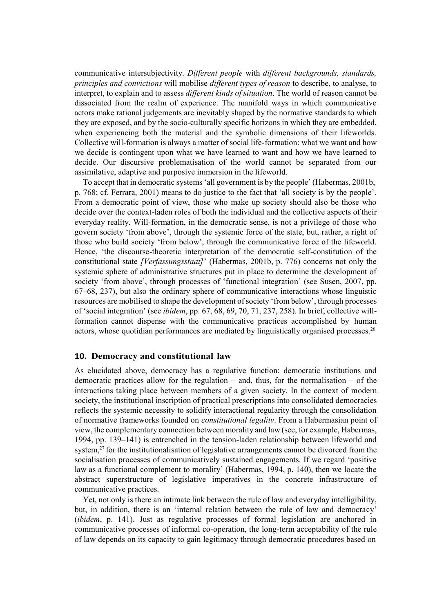communicative intersubjectivity. *Different people* with *different backgrounds, standards, principles and convictions* will mobilise *different types of reason* to describe, to analyse, to interpret, to explain and to assess *different kinds of situation*. The world of reason cannot be dissociated from the realm of experience. The manifold ways in which communicative actors make rational judgements are inevitably shaped by the normative standards to which they are exposed, and by the socio-culturally specific horizons in which they are embedded, when experiencing both the material and the symbolic dimensions of their lifeworlds. Collective will-formation is always a matter of social life-formation: what we want and how we decide is contingent upon what we have learned to want and how we have learned to decide. Our discursive problematisation of the world cannot be separated from our assimilative, adaptive and purposive immersion in the lifeworld.

To accept that in democratic systems'all government is by the people' (Habermas, 2001b, p. 768; cf. Ferrara, 2001) means to do justice to the fact that 'all society is by the people'. From a democratic point of view, those who make up society should also be those who decide over the context-laden roles of both the individual and the collective aspects of their everyday reality. Will-formation, in the democratic sense, is not a privilege of those who govern society 'from above', through the systemic force of the state, but, rather, a right of those who build society 'from below', through the communicative force of the lifeworld. Hence, 'the discourse-theoretic interpretation of the democratic self-constitution of the constitutional state *[Verfassungsstaat]*' (Habermas, 2001b, p. 776) concerns not only the systemic sphere of administrative structures put in place to determine the development of society 'from above', through processes of 'functional integration' (see Susen, 2007, pp. 67–68, 237), but also the ordinary sphere of communicative interactions whose linguistic resources are mobilised to shape the development of society 'from below', through processes of 'social integration' (see *ibidem*, pp. 67, 68, 69, 70, 71, 237, 258). In brief, collective willformation cannot dispense with the communicative practices accomplished by human actors, whose quotidian performances are mediated by linguistically organised processes.<sup>26</sup>

#### **10. Democracy and constitutional law**

As elucidated above, democracy has a regulative function: democratic institutions and democratic practices allow for the regulation – and, thus, for the normalisation – of the interactions taking place between members of a given society. In the context of modern society, the institutional inscription of practical prescriptions into consolidated democracies reflects the systemic necessity to solidify interactional regularity through the consolidation of normative frameworks founded on *constitutional legality*. From a Habermasian point of view, the complementary connection between morality and law (see, for example, Habermas, 1994, pp. 139–141) is entrenched in the tension-laden relationship between lifeworld and system, $27$  for the institutionalisation of legislative arrangements cannot be divorced from the socialisation processes of communicatively sustained engagements. If we regard 'positive law as a functional complement to morality' (Habermas, 1994, p. 140), then we locate the abstract superstructure of legislative imperatives in the concrete infrastructure of communicative practices.

Yet, not only is there an intimate link between the rule of law and everyday intelligibility, but, in addition, there is an 'internal relation between the rule of law and democracy' (*ibidem*, p. 141). Just as regulative processes of formal legislation are anchored in communicative processes of informal co-operation, the long-term acceptability of the rule of law depends on its capacity to gain legitimacy through democratic procedures based on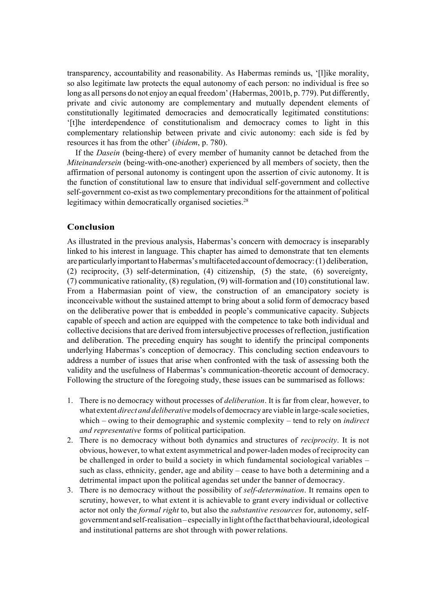transparency, accountability and reasonability. As Habermas reminds us, '[l]ike morality, so also legitimate law protects the equal autonomy of each person: no individual is free so long as all persons do not enjoy an equal freedom' (Habermas, 2001b, p. 779). Put differently, private and civic autonomy are complementary and mutually dependent elements of constitutionally legitimated democracies and democratically legitimated constitutions: '[t]he interdependence of constitutionalism and democracy comes to light in this complementary relationship between private and civic autonomy: each side is fed by resources it has from the other' (*ibidem*, p. 780).

If the *Dasein* (being-there) of every member of humanity cannot be detached from the *Miteinandersein* (being-with-one-another) experienced by all members of society, then the affirmation of personal autonomy is contingent upon the assertion of civic autonomy. It is the function of constitutional law to ensure that individual self-government and collective self-government co-exist as two complementary preconditions for the attainment of political legitimacy within democratically organised societies.<sup>28</sup>

#### **Conclusion**

As illustrated in the previous analysis, Habermas's concern with democracy is inseparably linked to his interest in language. This chapter has aimed to demonstrate that ten elements are particularly important to Habermas's multifaceted account of democracy: (1) deliberation, (2) reciprocity, (3) self-determination, (4) citizenship, (5) the state, (6) sovereignty, (7) communicative rationality, (8) regulation, (9) will-formation and (10) constitutional law. From a Habermasian point of view, the construction of an emancipatory society is inconceivable without the sustained attempt to bring about a solid form of democracy based on the deliberative power that is embedded in people's communicative capacity. Subjects capable of speech and action are equipped with the competence to take both individual and collective decisionsthat are derived from intersubjective processes of reflection, justification and deliberation. The preceding enquiry has sought to identify the principal components underlying Habermas's conception of democracy. This concluding section endeavours to address a number of issues that arise when confronted with the task of assessing both the validity and the usefulness of Habermas's communication-theoretic account of democracy. Following the structure of the foregoing study, these issues can be summarised as follows:

- 1. There is no democracy without processes of *deliberation*. It is far from clear, however, to what extent *direct and deliberative*models of democracy are viable in large-scale societies, which – owing to their demographic and systemic complexity – tend to rely on *indirect and representative* forms of political participation.
- 2. There is no democracy without both dynamics and structures of *reciprocity*. It is not obvious, however, to what extent asymmetrical and power-laden modes of reciprocity can be challenged in order to build a society in which fundamental sociological variables – such as class, ethnicity, gender, age and ability – cease to have both a determining and a detrimental impact upon the political agendas set under the banner of democracy.
- 3. There is no democracy without the possibility of *self-determination*. It remains open to scrutiny, however, to what extent it is achievable to grant every individual or collective actor not only the *formal right* to, but also the *substantive resources* for, autonomy, selfgovernment and self-realisation– especiallyinlight ofthe factthatbehavioural,ideological and institutional patterns are shot through with power relations.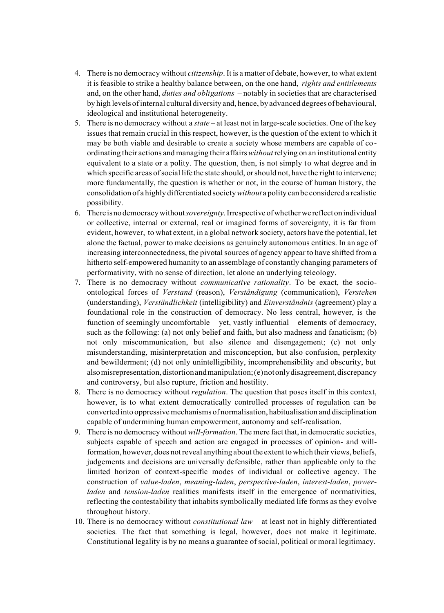- 4. There is no democracy without *citizenship*. It is a matter of debate, however, to what extent it is feasible to strike a healthy balance between, on the one hand, *rights and entitlements*  and, on the other hand, *duties and obligations* – notably in societies that are characterised by high levels ofinternal cultural diversity and, hence, by advanced degrees ofbehavioural, ideological and institutional heterogeneity.
- 5. There is no democracy without a *state* at least not in large-scale societies. One of the key issues that remain crucial in this respect, however, is the question of the extent to which it may be both viable and desirable to create a society whose members are capable of coordinating their actions and managing their affairs*without*relying on an institutional entity equivalent to a state or a polity. The question, then, is not simply to what degree and in which specific areas ofsocial life the state should, orshould not, have the right to intervene; more fundamentally, the question is whether or not, in the course of human history, the consolidation of a highly differentiated society*without* a polity can be considered a realistic possibility.
- 6. Thereisnodemocracywithout*sovereignty*.Irrespective ofwhetherwe reflectonindividual or collective, internal or external, real or imagined forms of sovereignty, it is far from evident, however, to what extent, in a global network society, actors have the potential, let alone the factual, power to make decisions as genuinely autonomous entities. In an age of increasing interconnectedness, the pivotal sources of agency appear to have shifted from a hitherto self-empowered humanity to an assemblage of constantly changing parameters of performativity, with no sense of direction, let alone an underlying teleology.
- 7. There is no democracy without *communicative rationality*. To be exact, the socioontological forces of *Verstand* (reason), *Verständigung* (communication), *Verstehen*  (understanding), *Verständlichkeit* (intelligibility) and *Einverständnis* (agreement) play a foundational role in the construction of democracy. No less central, however, is the function of seemingly uncomfortable – yet, vastly influential – elements of democracy, such as the following: (a) not only belief and faith, but also madness and fanaticism; (b) not only miscommunication, but also silence and disengagement; (c) not only misunderstanding, misinterpretation and misconception, but also confusion, perplexity and bewilderment; (d) not only unintelligibility, incomprehensibility and obscurity, but alsomisrepresentation,distortionandmanipulation;(e)notonlydisagreement,discrepancy and controversy, but also rupture, friction and hostility.
- 8. There is no democracy without *regulation*. The question that poses itself in this context, however, is to what extent democratically controlled processes of regulation can be converted into oppressivemechanisms of normalisation, habitualisation and disciplination capable of undermining human empowerment, autonomy and self-realisation.
- 9. There is no democracy without *will-formation*. The mere fact that, in democratic societies, subjects capable of speech and action are engaged in processes of opinion- and willformation, however, does notreveal anything about the extent to which their views, beliefs, judgements and decisions are universally defensible, rather than applicable only to the limited horizon of context-specific modes of individual or collective agency. The construction of *value-laden*, *meaning-laden*, *perspective-laden*, *interest-laden*, *powerladen* and *tension-laden* realities manifests itself in the emergence of normativities, reflecting the contestability that inhabits symbolically mediated life forms as they evolve throughout history.
- 10. There is no democracy without *constitutional law –* at least not in highly differentiated societies*.* The fact that something is legal, however, does not make it legitimate. Constitutional legality is by no means a guarantee of social, political or moral legitimacy.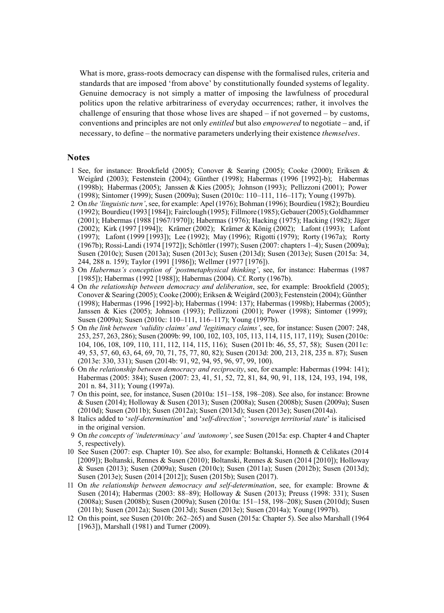What is more, grass-roots democracy can dispense with the formalised rules, criteria and standards that are imposed 'from above' by constitutionally founded systems of legality. Genuine democracy is not simply a matter of imposing the lawfulness of procedural politics upon the relative arbitrariness of everyday occurrences; rather, it involves the challenge of ensuring that those whose lives are shaped  $-$  if not governed  $-$  by customs, conventions and principles are not only *entitled* but also *empowered* to negotiate – and, if necessary, to define – the normative parameters underlying their existence *themselves*.

#### **Notes**

- 1 See, for instance: Brookfield (2005); Conover & Searing (2005); Cooke (2000); Eriksen & Weigård (2003); Festenstein (2004); Günther (1998); Habermas (1996 [1992]-b); Habermas (1998b); Habermas (2005); Janssen & Kies (2005); Johnson (1993); Pellizzoni (2001); Power (1998); Sintomer (1999); Susen (2009a); Susen (2010c: 110–111, 116–117); Young (1997b).
- 2 On *the 'linguistic turn'*,see, for example: Apel (1976); Bohman (1996); Bourdieu (1982); Bourdieu (1992); Bourdieu(1993[1984]); Fairclough (1995); Fillmore (1985);Gebauer(2005);Goldhammer (2001); Habermas (1988 [1967/1970]); Habermas (1976); Hacking (1975); Hacking (1982); Jäger (2002); Kirk (1997 [1994]); Krämer (2002); Krämer & König (2002); Lafont (1993); Lafont (1997); Lafont (1999 [1993]); Lee (1992); May (1996); Rigotti (1979); Rorty (1967a); Rorty (1967b); Rossi-Landi (1974 [1972]); Schöttler (1997); Susen (2007: chapters 1–4); Susen (2009a); Susen (2010c); Susen (2013a); Susen (2013c); Susen (2013d); Susen (2013e); Susen (2015a: 34, 244, 288 n. 159); Taylor (1991 [1986]); Wellmer (1977 [1976]).
- 3 On *Habermas's conception of 'postmetaphysical thinking'*, see, for instance: Habermas (1987 [1985]); Habermas (1992 [1988]); Habermas (2004). Cf. Rorty (1967b).
- 4 On *the relationship between democracy and deliberation*, see, for example: Brookfield (2005); Conover &Searing (2005); Cooke (2000); Eriksen & Weigård (2003); Festenstein (2004); Günther (1998); Habermas (1996 [1992]-b); Habermas (1994: 137); Habermas (1998b); Habermas (2005); Janssen & Kies (2005); Johnson (1993); Pellizzoni (2001); Power (1998); Sintomer (1999); Susen (2009a); Susen (2010c: 110–111, 116–117); Young (1997b).
- 5 On *the link between 'validity claims' and 'legitimacy claims'*, see, for instance: Susen (2007: 248, 253, 257, 263, 286); Susen (2009b: 99, 100, 102, 103, 105, 113, 114, 115, 117, 119); Susen (2010c: 104, 106, 108, 109, 110, 111, 112, 114, 115, 116); Susen (2011b: 46, 55, 57, 58); Susen (2011c: 49, 53, 57, 60, 63, 64, 69, 70, 71, 75, 77, 80, 82); Susen (2013d: 200, 213, 218, 235 n. 87); Susen (2013e: 330, 331); Susen (2014b: 91, 92, 94, 95, 96, 97, 99, 100).
- 6 On *the relationship between democracy and reciprocity*, see, for example: Habermas (1994: 141); Habermas (2005: 384); Susen (2007: 23, 41, 51, 52, 72, 81, 84, 90, 91, 118, 124, 193, 194, 198, 201 n. 84, 311); Young (1997a).
- 7 On this point, see, for instance, Susen (2010a: 151–158, 198–208). See also, for instance: Browne & Susen (2014); Holloway & Susen (2013); Susen (2008a); Susen (2008b); Susen (2009a); Susen (2010d); Susen (2011b); Susen (2012a); Susen (2013d); Susen (2013e); Susen (2014a).
- 8 Italics added to '*self-determination*' and '*self-direction*'; '*sovereign territorial state*' is italicised in the original version.
- 9 On *the concepts of 'indeterminacy' and 'autonomy'*, see Susen (2015a: esp. Chapter 4 and Chapter 5, respectively).
- 10 See Susen (2007: esp. Chapter 10). See also, for example: Boltanski, Honneth & Celikates (2014 [2009]); Boltanski, Rennes & Susen (2010); Boltanski, Rennes & Susen (2014 [2010]); Holloway & Susen (2013); Susen (2009a); Susen (2010c); Susen (2011a); Susen (2012b); Susen (2013d); Susen (2013e); Susen (2014 [2012]); Susen (2015b); Susen (2017).
- 11 On *the relationship between democracy and self-determination*, see, for example: Browne & Susen (2014); Habermas (2003: 88–89); Holloway & Susen (2013); Preuss (1998: 331); Susen (2008a); Susen (2008b); Susen (2009a); Susen (2010a: 151–158, 198–208); Susen (2010d); Susen (2011b); Susen (2012a); Susen (2013d); Susen (2013e); Susen (2014a); Young (1997b).
- 12 On this point, see Susen (2010b: 262–265) and Susen (2015a: Chapter 5). See also Marshall (1964 [1963]), Marshall (1981) and Turner (2009).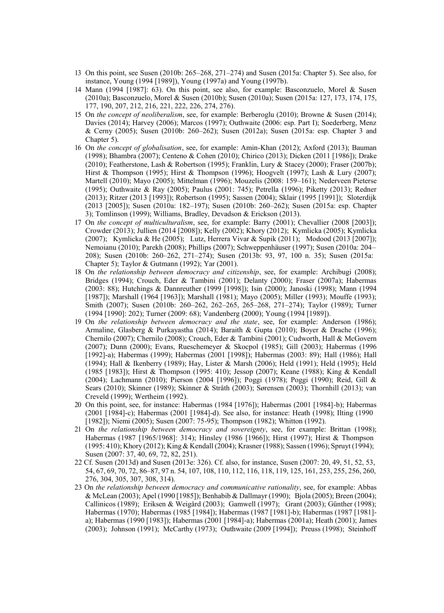- 13 On this point, see Susen (2010b: 265–268, 271–274) and Susen (2015a: Chapter 5). See also, for instance, Young (1994 [1989]), Young (1997a) and Young (1997b).
- 14 Mann (1994 [1987]: 63). On this point, see also, for example: Basconzuelo, Morel & Susen (2010a); Basconzuelo, Morel & Susen (2010b); Susen (2010a); Susen (2015a: 127, 173, 174, 175, 177, 190, 207, 212, 216, 221, 222, 226, 274, 276).
- 15 On *the concept of neoliberalism*, see, for example: Berberoglu (2010); Browne & Susen (2014); Davies (2014); Harvey (2006); Marcos (1997); Outhwaite (2006: esp. Part I); Soederberg, Menz & Cerny (2005); Susen (2010b: 260–262); Susen (2012a); Susen (2015a: esp. Chapter 3 and Chapter 5).
- 16 On *the concept of globalisation*, see, for example: Amin-Khan (2012); Axford (2013); Bauman (1998); Bhambra (2007); Centeno & Cohen (2010); Chirico (2013); Dicken (2011 [1986]); Drake (2010); Featherstone, Lash & Robertson (1995); Franklin, Lury & Stacey (2000); Fraser (2007b); Hirst & Thompson (1995); Hirst & Thompson (1996); Hoogvelt (1997); Lash & Lury (2007); Martell (2010); Mayo (2005); Mittelman (1996); Mouzelis (2008: 159–161); Nederveen Pieterse (1995); Outhwaite & Ray (2005); Paulus (2001: 745); Petrella (1996); Piketty (2013); Redner (2013); Ritzer (2013 [1993]); Robertson (1995); Sassen (2004); Sklair (1995 [1991]); Sloterdijk (2013 [2005]); Susen (2010a: 182–197); Susen (2010b: 260–262); Susen (2015a: esp. Chapter 3); Tomlinson (1999); Williams, Bradley, Devadson & Erickson (2013).
- 17 On *the concept of multiculturalism*, see, for example: Barry (2001); Chevallier (2008 [2003]); Crowder (2013); Jullien (2014 [2008]); Kelly (2002); Khory (2012); Kymlicka (2005); Kymlicka (2007); Kymlicka & He (2005); Lutz, Herrera Vivar & Supik (2011); Modood (2013 [2007]); Nemoianu (2010); Parekh (2008); Phillips (2007); Schweppenhäuser (1997); Susen (2010a: 204– 208); Susen (2010b: 260–262, 271–274); Susen (2013b: 93, 97, 100 n. 35); Susen (2015a: Chapter 5); Taylor & Gutmann (1992); Yar (2001).
- 18 On *the relationship between democracy and citizenship*, see, for example: Archibugi (2008); Bridges (1994); Crouch, Eder & Tambini (2001); Delanty (2000); Fraser (2007a); Habermas (2003: 88); Hutchings & Dannreuther (1999 [1998]); Isin (2000); Janoski (1998); Mann (1994 [1987]); Marshall (1964 [1963]); Marshall (1981); Mayo (2005); Miller (1993); Mouffe (1993); Smith (2007); Susen (2010b: 260–262, 262–265, 265–268, 271–274); Taylor (1989); Turner (1994 [1990]: 202); Turner (2009: 68); Vandenberg (2000); Young (1994 [1989]).
- 19 On *the relationship between democracy and the state*, see, for example: Anderson (1986); Armaline, Glasberg & Purkayastha (2014); Baraith & Gupta (2010); Boyer & Drache (1996); Chernilo (2007); Chernilo (2008); Crouch, Eder & Tambini (2001); Cudworth, Hall & McGovern (2007); Dunn (2000); Evans, Rueschemeyer & Skocpol (1985); Gill (2003); Habermas (1996 [1992]-a); Habermas (1999); Habermas (2001 [1998]); Habermas (2003: 89); Hall (1986); Hall (1994); Hall & Ikenberry (1989); Hay, Lister & Marsh (2006); Held (1991); Held (1995); Held (1985 [1983]); Hirst & Thompson (1995: 410); Jessop (2007); Keane (1988); King & Kendall (2004); Lachmann (2010); Pierson (2004 [1996]); Poggi (1978); Poggi (1990); Reid, Gill & Sears (2010); Skinner (1989); Skinner & Stråth (2003); Sørensen (2003); Thornhill (2013); van Creveld (1999); Wertheim (1992).
- 20 On this point, see, for instance: Habermas (1984 [1976]); Habermas (2001 [1984]-b); Habermas (2001 [1984]-c); Habermas (2001 [1984]-d). See also, for instance: Heath (1998); Ilting (1990 [1982]); Niemi (2005); Susen (2007: 75-95); Thompson (1982); Whitton (1992).
- 21 On *the relationship between democracy and sovereignty*, see, for example: Brittan (1998); Habermas (1987 [1965/1968]: 314); Hinsley (1986 [1966]); Hirst (1997); Hirst & Thompson (1995: 410); Khory (2012); King& Kendall (2004); Krasner (1988); Sassen (1996); Spruyt (1994); Susen (2007: 37, 40, 69, 72, 82, 251).
- 22 Cf. Susen (2013d) and Susen (2013e: 326). Cf. also, for instance, Susen (2007: 20, 49, 51, 52, 53, 54, 67, 69, 70, 72, 86–87, 97 n. 54, 107, 108, 110, 112, 116, 118, 119, 125, 161, 253, 255, 256, 260, 276, 304, 305, 307, 308, 314).
- 23 On *the relationship between democracy and communicative rationality*, see, for example: Abbas & McLean (2003); Apel (1990 [1985]); Benhabib & Dallmayr (1990); Bjola (2005); Breen (2004); Callinicos (1989); Eriksen & Weigård (2003); Gamwell (1997); Grant (2003); Günther (1998); Habermas (1970); Habermas (1985 [1984]); Habermas (1987 [1981]-b); Habermas (1987 [1981] a); Habermas (1990 [1983]); Habermas (2001 [1984]-a); Habermas (2001a); Heath (2001); James (2003); Johnson (1991); McCarthy (1973); Outhwaite (2009 [1994]); Preuss (1998); Steinhoff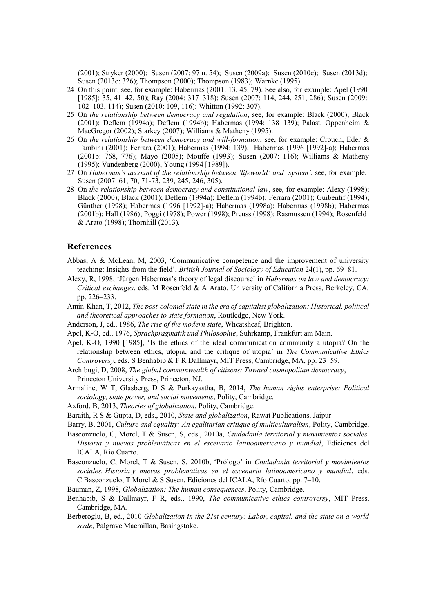(2001); Stryker (2000); Susen (2007: 97 n. 54); Susen (2009a); Susen (2010c); Susen (2013d); Susen (2013e: 326); Thompson (2000); Thompson (1983); Warnke (1995).

- 24 On this point, see, for example: Habermas (2001: 13, 45, 79). See also, for example: Apel (1990 [1985]: 35, 41–42, 50); Ray (2004: 317–318); Susen (2007: 114, 244, 251, 286); Susen (2009: 102–103, 114); Susen (2010: 109, 116); Whitton (1992: 307).
- 25 On *the relationship between democracy and regulation*, see, for example: Black (2000); Black (2001); Deflem (1994a); Deflem (1994b); Habermas (1994: 138–139); Palast, Oppenheim & MacGregor (2002); Starkey (2007); Williams & Matheny (1995).
- 26 On *the relationship between democracy and will-formation*, see, for example: Crouch, Eder & Tambini (2001); Ferrara (2001); Habermas (1994: 139); Habermas (1996 [1992]-a); Habermas (2001b: 768, 776); Mayo (2005); Mouffe (1993); Susen (2007: 116); Williams & Matheny (1995); Vandenberg (2000); Young (1994 [1989]).
- 27 On *Habermas's account of the relationship between 'lifeworld' and 'system'*, see, for example, Susen (2007: 61, 70, 71-73, 239, 245, 246, 305).
- 28 On *the relationship between democracy and constitutional law*, see, for example: Alexy (1998); Black (2000); Black (2001); Deflem (1994a); Deflem (1994b); Ferrara (2001); Guibentif (1994); Günther (1998); Habermas (1996 [1992]-a); Habermas (1998a); Habermas (1998b); Habermas (2001b); Hall (1986); Poggi (1978); Power (1998); Preuss (1998); Rasmussen (1994); Rosenfeld & Arato (1998); Thornhill (2013).

#### **References**

- Abbas, A & McLean, M, 2003, 'Communicative competence and the improvement of university teaching: Insights from the field', *British Journal of Sociology of Education* 24(1), pp. 69–81.
- Alexy, R, 1998, 'Jürgen Habermas's theory of legal discourse' in *Habermas on law and democracy: Critical exchanges*, eds. M Rosenfeld & A Arato, University of California Press, Berkeley, CA, pp. 226–233.
- Amin-Khan, T, 2012, *The post-colonial state in the era of capitalist globalization: Historical, political and theoretical approaches to state formation*, Routledge, New York.
- Anderson, J, ed., 1986, *The rise of the modern state*, Wheatsheaf, Brighton.
- Apel, K-O, ed., 1976, *Sprachpragmatik und Philosophie*, Suhrkamp, Frankfurt am Main.
- Apel, K-O, 1990 [1985], 'Is the ethics of the ideal communication community a utopia? On the relationship between ethics, utopia, and the critique of utopia' in *The Communicative Ethics Controversy*, eds. S Benhabib & F R Dallmayr, MIT Press, Cambridge, MA, pp. 23–59.
- Archibugi, D, 2008, *The global commonwealth of citizens: Toward cosmopolitan democracy*, Princeton University Press, Princeton, NJ.
- Armaline, W T, Glasberg, D S & Purkayastha, B, 2014, *The human rights enterprise: Political sociology, state power, and social movements*, Polity, Cambridge.
- Axford, B, 2013, *Theories of globalization*, Polity, Cambridge.
- Baraith, R S & Gupta, D, eds., 2010, *State and globalization*, Rawat Publications, Jaipur.
- Barry, B, 2001, *Culture and equality: An egalitarian critique of multiculturalism*, Polity, Cambridge.
- Basconzuelo, C, Morel, T & Susen, S, eds., 2010a, *Ciudadanía territorial y movimientos sociales. Historia y nuevas problemáticas en el escenario latinoamericano y mundial*, Ediciones del ICALA, Río Cuarto.
- Basconzuelo, C, Morel, T & Susen, S, 2010b, 'Prólogo' in *Ciudadanía territorial y movimientos sociales. Historia y nuevas problemáticas en el escenario latinoamericano y mundial*, eds. C Basconzuelo, T Morel & S Susen, Ediciones del ICALA, Río Cuarto, pp. 7–10.
- Bauman, Z, 1998, *Globalization: The human consequences*, Polity, Cambridge.
- Benhabib, S & Dallmayr, F R, eds., 1990, *The communicative ethics controversy*, MIT Press, Cambridge, MA.
- Berberoglu, B, ed., 2010 *Globalization in the 21st century: Labor, capital, and the state on a world scale*, Palgrave Macmillan, Basingstoke.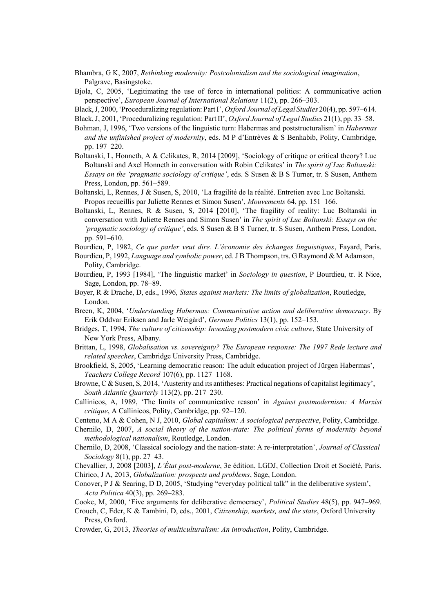- Bhambra, G K, 2007, *Rethinking modernity: Postcolonialism and the sociological imagination*, Palgrave, Basingstoke.
- Bjola, C, 2005, 'Legitimating the use of force in international politics: A communicative action perspective', *European Journal of International Relations* 11(2), pp. 266–303.
- Black,J, 2000,'Proceduralizing regulation: PartI', *Oxford Journal of Legal Studies* 20(4), pp. 597–614.
- Black,J, 2001, 'Proceduralizing regulation: Part II', *Oxford Journal of Legal Studies* 21(1), pp. 33–58.
- Bohman, J, 1996, 'Two versions of the linguistic turn: Habermas and poststructuralism' in *Habermas and the unfinished project of modernity*, eds. M P d'Entrèves & S Benhabib, Polity, Cambridge, pp. 197–220.
- Boltanski, L, Honneth, A & Celikates, R, 2014 [2009], 'Sociology of critique or critical theory? Luc Boltanski and Axel Honneth in conversation with Robin Celikates' in *The spirit of Luc Boltanski: Essays on the 'pragmatic sociology of critique'*, eds. S Susen & B S Turner, tr. S Susen, Anthem Press, London, pp. 561–589.
- Boltanski, L, Rennes, J & Susen, S, 2010, 'La fragilité de la réalité. Entretien avec Luc Boltanski. Propos recueillis par Juliette Rennes et Simon Susen', *Mouvements* 64, pp. 151–166.
- Boltanski, L, Rennes, R & Susen, S, 2014 [2010], 'The fragility of reality: Luc Boltanski in conversation with Juliette Rennes and Simon Susen' in *The spirit of Luc Boltanski: Essays on the 'pragmatic sociology of critique'*, eds. S Susen & B S Turner, tr. S Susen, Anthem Press, London, pp. 591–610.
- Bourdieu, P, 1982, *Ce que parler veut dire. L'économie des échanges linguistiques*, Fayard, Paris.
- Bourdieu, P, 1992, *Language and symbolic power*, ed.J B Thompson, trs. G Raymond & M Adamson, Polity, Cambridge.
- Bourdieu, P, 1993 [1984], 'The linguistic market' in *Sociology in question*, P Bourdieu, tr. R Nice, Sage, London, pp. 78–89.
- Boyer, R & Drache, D, eds., 1996, *States against markets: The limits of globalization*, Routledge, London.
- Breen, K, 2004, '*Understanding Habermas: Communicative action and deliberative democracy*. By Erik Oddvar Eriksen and Jarle Weigård', *German Politics* 13(1), pp. 152–153.
- Bridges, T, 1994, *The culture of citizenship: Inventing postmodern civic culture*, State University of New York Press, Albany.
- Brittan, L, 1998, *Globalisation vs. sovereignty? The European response: The 1997 Rede lecture and related speeches*, Cambridge University Press, Cambridge.
- Brookfield, S, 2005, 'Learning democratic reason: The adult education project of Jürgen Habermas', *Teachers College Record* 107(6), pp. 1127–1168.
- Browne, C & Susen, S, 2014, 'Austerity and its antitheses: Practical negations of capitalist legitimacy', *South Atlantic Quarterly* 113(2), pp. 217–230.
- Callinicos, A, 1989, 'The limits of communicative reason' in *Against postmodernism: A Marxist critique*, A Callinicos, Polity, Cambridge, pp. 92–120.
- Centeno, M A & Cohen, N J, 2010, *Global capitalism: A sociological perspective*, Polity, Cambridge.

Chernilo, D, 2007, *A social theory of the nation-state: The political forms of modernity beyond methodological nationalism*, Routledge, London.

Chernilo, D, 2008, 'Classical sociology and the nation-state: A re-interpretation', *Journal of Classical Sociology* 8(1), pp. 27–43.

Chevallier, J, 2008 [2003], *L'État post-moderne*, 3e édition, LGDJ, Collection Droit et Société, Paris. Chirico, J A, 2013, *Globalization: prospects and problems*, Sage, London.

- Conover, P J & Searing, D D, 2005, 'Studying "everyday political talk" in the deliberative system', *Acta Politica* 40(3), pp. 269–283.
- Cooke, M, 2000, 'Five arguments for deliberative democracy', *Political Studies* 48(5), pp. 947–969.
- Crouch, C, Eder, K & Tambini, D, eds., 2001, *Citizenship, markets, and the state*, Oxford University Press, Oxford.
- Crowder, G, 2013, *Theories of multiculturalism: An introduction*, Polity, Cambridge.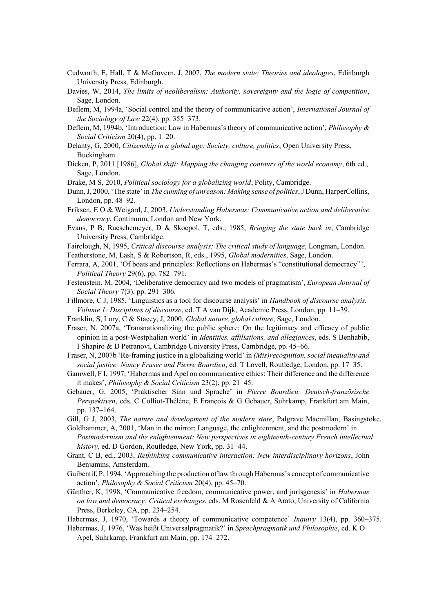- Cudworth, E, Hall, T & McGovern, J, 2007, *The modern state: Theories and ideologies*, Edinburgh University Press, Edinburgh.
- Davies, W, 2014, *The limits of neoliberalism: Authority, sovereignty and the logic of competition*, Sage, London.
- Deflem, M, 1994a, 'Social control and the theory of communicative action', *International Journal of the Sociology of Law* 22(4), pp. 355–373.
- Deflem, M, 1994b, 'Introduction: Law in Habermas's theory of communicative action', *Philosophy & Social Criticism* 20(4), pp. 1–20.
- Delanty, G, 2000, *Citizenship in a global age: Society, culture, politics*, Open University Press, Buckingham.
- Dicken, P, 2011 [1986], *Global shift: Mapping the changing contours of the world economy*, 6th ed., Sage, London.
- Drake, M S, 2010, *Political sociology for a globalizing world*, Polity, Cambridge.
- Dunn,J, 2000, 'The state' in *The cunning of unreason: Making sense of politics*,J Dunn, HarperCollins, London, pp. 48–92.
- Eriksen, E O & Weigård, J, 2003, *Understanding Habermas: Communicative action and deliberative democracy*, Continuum, London and New York.
- Evans, P B, Rueschemeyer, D & Skocpol, T, eds., 1985, *Bringing the state back in*, Cambridge University Press, Cambridge.
- Fairclough, N, 1995, *Critical discourse analysis: The critical study of language*, Longman, London.
- Featherstone, M, Lash, S & Robertson, R, eds., 1995, *Global modernities*, Sage, London.
- Ferrara, A, 2001, 'Of boats and principles: Reflections on Habermas's "constitutional democracy"', *Political Theory* 29(6), pp. 782–791.
- Festenstein, M, 2004, 'Deliberative democracy and two models of pragmatism', *European Journal of Social Theory* 7(3), pp. 291–306.
- Fillmore, C J, 1985, 'Linguistics as a tool for discourse analysis' in *Handbook of discourse analysis. Volume 1: Disciplines of discourse*, ed. T A van Dijk, Academic Press, London, pp. 11–39.
- Franklin, S, Lury, C & Stacey, J, 2000, *Global nature, global culture*, Sage, London.

Fraser, N, 2007a, 'Transnationalizing the public sphere: On the legitimacy and efficacy of public opinion in a post-Westphalian world' in *Identities, affiliations, and allegiances*, eds. S Benhabib, I Shapiro & D Petranovi, Cambridge University Press, Cambridge, pp. 45–66.

- Fraser, N, 2007b 'Re-framing justice in a globalizing world' in *(Mis)recognition, social inequality and social justice: Nancy Fraser and Pierre Bourdieu*, ed. T Lovell, Routledge, London, pp. 17–35.
- Gamwell, F I, 1997, 'Habermas and Apel on communicative ethics: Their difference and the difference it makes', *Philosophy & Social Criticism* 23(2), pp. 21–45.
- Gebauer, G, 2005, 'Praktischer Sinn und Sprache' in *Pierre Bourdieu: Deutsch-französische Perspektiven*, eds. C Colliot-Thélène, E François & G Gebauer, Suhrkamp, Frankfurt am Main, pp. 137–164.
- Gill, G J, 2003, *The nature and development of the modern state*, Palgrave Macmillan, Basingstoke.

Goldhammer, A, 2001, 'Man in the mirror: Language, the enlightenment, and the postmodern' in *Postmodernism and the enlightenment: New perspectives in eighteenth-century French intellectual history*, ed. D Gordon, Routledge, New York, pp. 31–44.

- Grant, C B, ed., 2003, *Rethinking communicative interaction: New interdisciplinary horizons*, John Benjamins, Amsterdam.
- Guibentif, P, 1994,'Approaching the production oflaw through Habermas's concept of communicative action', *Philosophy & Social Criticism* 20(4), pp. 45–70.
- Günther, K, 1998, 'Communicative freedom, communicative power, and jurisgenesis' in *Habermas on law and democracy: Critical exchanges*, eds. M Rosenfeld & A Arato, University of California Press, Berkeley, CA, pp. 234–254.
- Habermas, J, 1970, 'Towards a theory of communicative competence' *Inquiry* 13(4), pp. 360–375.
- Habermas, J, 1976, 'Was heißt Universalpragmatik?' in *Sprachpragmatik und Philosophie*, ed. K O Apel, Suhrkamp, Frankfurt am Main, pp. 174–272.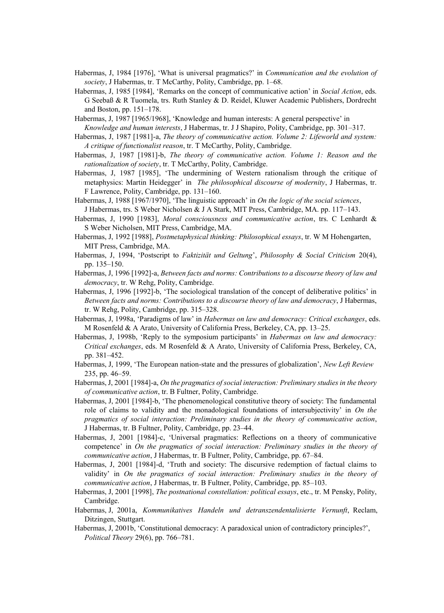- Habermas, J, 1984 [1976], 'What is universal pragmatics?' in *Communication and the evolution of society*, J Habermas, tr. T McCarthy, Polity, Cambridge, pp. 1–68.
- Habermas, J, 1985 [1984], 'Remarks on the concept of communicative action' in *Social Action*, eds. G Seebaß & R Tuomela, trs. Ruth Stanley & D. Reidel, Kluwer Academic Publishers, Dordrecht and Boston, pp. 151–178.
- Habermas, J, 1987 [1965/1968], 'Knowledge and human interests: A general perspective' in *Knowledge and human interests*, J Habermas, tr. J J Shapiro, Polity, Cambridge, pp. 301–317.
- Habermas, J, 1987 [1981]-a, *The theory of communicative action. Volume 2: Lifeworld and system: A critique of functionalist reason*, tr. T McCarthy, Polity, Cambridge.
- Habermas, J, 1987 [1981]-b, *The theory of communicative action. Volume 1: Reason and the rationalization of society*, tr. T McCarthy, Polity, Cambridge.
- Habermas, J, 1987 [1985], 'The undermining of Western rationalism through the critique of metaphysics: Martin Heidegger' in *The philosophical discourse of modernity*, J Habermas, tr. F Lawrence, Polity, Cambridge, pp. 131–160.
- Habermas, J, 1988 [1967/1970], 'The linguistic approach' in *On the logic of the social sciences*, J Habermas, trs. S Weber Nicholsen & J A Stark, MIT Press, Cambridge, MA. pp. 117–143.
- Habermas, J, 1990 [1983], *Moral consciousness and communicative action*, trs. C Lenhardt & S Weber Nicholsen, MIT Press, Cambridge, MA.
- Habermas, J, 1992 [1988], *Postmetaphysical thinking: Philosophical essays*, tr. W M Hohengarten, MIT Press, Cambridge, MA.
- Habermas, J, 1994, 'Postscript to *Faktizität und Geltung*', *Philosophy & Social Criticism* 20(4), pp. 135–150.
- Habermas, J, 1996 [1992]-a, *Between facts and norms: Contributions to a discourse theory of law and democracy*, tr. W Rehg, Polity, Cambridge.
- Habermas, J, 1996 [1992]-b, 'The sociological translation of the concept of deliberative politics' in *Between facts and norms: Contributions to a discourse theory of law and democracy*, J Habermas, tr. W Rehg, Polity, Cambridge, pp. 315–328.
- Habermas, J, 1998a, 'Paradigms of law' in *Habermas on law and democracy: Critical exchanges*, eds. M Rosenfeld & A Arato, University of California Press, Berkeley, CA, pp. 13–25.
- Habermas, J, 1998b, 'Reply to the symposium participants' in *Habermas on law and democracy: Critical exchanges*, eds. M Rosenfeld & A Arato, University of California Press, Berkeley, CA, pp. 381–452.
- Habermas, J, 1999, 'The European nation-state and the pressures of globalization', *New Left Review* 235, pp. 46–59.
- Habermas, J, 2001 [1984]-a, *On the pragmatics of social interaction: Preliminary studies in the theory of communicative action*, tr. B Fultner, Polity, Cambridge.
- Habermas, J, 2001 [1984]-b, 'The phenomenological constitutive theory of society: The fundamental role of claims to validity and the monadological foundations of intersubjectivity' in *On the pragmatics of social interaction: Preliminary studies in the theory of communicative action*, J Habermas, tr. B Fultner, Polity, Cambridge, pp. 23–44.
- Habermas, J, 2001 [1984]-c, 'Universal pragmatics: Reflections on a theory of communicative competence' in *On the pragmatics of social interaction: Preliminary studies in the theory of communicative action*, J Habermas, tr. B Fultner, Polity, Cambridge, pp. 67–84.
- Habermas, J, 2001 [1984]-d, 'Truth and society: The discursive redemption of factual claims to validity' in *On the pragmatics of social interaction: Preliminary studies in the theory of communicative action*, J Habermas, tr. B Fultner, Polity, Cambridge, pp. 85–103.
- Habermas, J, 2001 [1998], *The postnational constellation: political essays*, etc., tr. M Pensky, Polity, Cambridge.
- Habermas, J, 2001a, *Kommunikatives Handeln und detranszendentalisierte Vernunft*, Reclam, Ditzingen, Stuttgart.
- Habermas, J, 2001b, 'Constitutional democracy: A paradoxical union of contradictory principles?', *Political Theory* 29(6), pp. 766–781.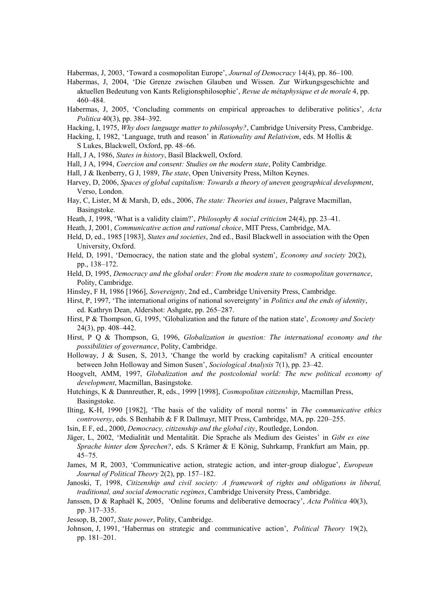Habermas, J, 2003, 'Toward a cosmopolitan Europe', *Journal of Democracy* 14(4), pp. 86–100.

- Habermas, J, 2004, 'Die Grenze zwischen Glauben und Wissen. Zur Wirkungsgeschichte and aktuellen Bedeutung von Kants Religionsphilosophie', *Revue de métaphysique et de morale* 4, pp. 460–484.
- Habermas, J, 2005, 'Concluding comments on empirical approaches to deliberative politics', *Acta Politica* 40(3), pp. 384–392.
- Hacking, I, 1975, *Why does language matter to philosophy?*, Cambridge University Press, Cambridge.
- Hacking, I, 1982, 'Language, truth and reason' in *Rationality and Relativism*, eds. M Hollis & S Lukes, Blackwell, Oxford, pp. 48–66.
- Hall, J A, 1986, *States in history*, Basil Blackwell, Oxford.
- Hall, J A, 1994, *Coercion and consent: Studies on the modern state*, Polity Cambridge.
- Hall, J & Ikenberry, G J, 1989, *The state*, Open University Press, Milton Keynes.
- Harvey, D, 2006, *Spaces of global capitalism: Towards a theory of uneven geographical development*, Verso, London.
- Hay, C, Lister, M & Marsh, D, eds., 2006, *The state: Theories and issues*, Palgrave Macmillan, Basingstoke.
- Heath, J, 1998, 'What is a validity claim?', *Philosophy & social criticism* 24(4), pp. 23–41.
- Heath, J, 2001, *Communicative action and rational choice*, MIT Press, Cambridge, MA.
- Held, D, ed., 1985 [1983], *States and societies*, 2nd ed., Basil Blackwell in association with the Open University, Oxford.
- Held, D, 1991, 'Democracy, the nation state and the global system', *Economy and society* 20(2), pp., 138–172.
- Held, D, 1995, *Democracy and the global order: From the modern state to cosmopolitan governance*, Polity, Cambridge.
- Hinsley, F H, 1986 [1966], *Sovereignty*, 2nd ed., Cambridge University Press, Cambridge.
- Hirst, P, 1997, 'The international origins of national sovereignty' in *Politics and the ends of identity*, ed. Kathryn Dean, Aldershot: Ashgate, pp. 265–287.
- Hirst, P & Thompson, G, 1995, 'Globalization and the future of the nation state', *Economy and Society* 24(3), pp. 408–442.
- Hirst, P Q & Thompson, G, 1996, *Globalization in question: The international economy and the possibilities of governance*, Polity, Cambridge.
- Holloway, J & Susen, S, 2013, 'Change the world by cracking capitalism? A critical encounter between John Holloway and Simon Susen', *Sociological Analysis* 7(1), pp. 23–42.

Hoogvelt, AMM, 1997, *Globalization and the postcolonial world: The new political economy of development*, Macmillan, Basingstoke.

- Hutchings, K & Dannreuther, R, eds., 1999 [1998], *Cosmopolitan citizenship*, Macmillan Press, Basingstoke.
- Ilting, K-H, 1990 [1982], 'The basis of the validity of moral norms' in *The communicative ethics controversy*, eds. S Benhabib & F R Dallmayr, MIT Press, Cambridge, MA, pp. 220–255.
- Isin, E F, ed., 2000, *Democracy, citizenship and the global city*, Routledge, London.
- Jäger, L, 2002, 'Medialität und Mentalität. Die Sprache als Medium des Geistes' in *Gibt es eine Sprache hinter dem Sprechen?*, eds. S Krämer & E König, Suhrkamp, Frankfurt am Main, pp. 45–75.
- James, M R, 2003, 'Communicative action, strategic action, and inter-group dialogue', *European Journal of Political Theory* 2(2), pp. 157–182.
- Janoski, T, 1998, *Citizenship and civil society: A framework of rights and obligations in liberal, traditional, and social democratic regimes*, Cambridge University Press, Cambridge.
- Janssen, D & Raphaël K, 2005, 'Online forums and deliberative democracy', *Acta Politica* 40(3), pp. 317–335.
- Jessop, B, 2007, *State power*, Polity, Cambridge.
- Johnson, J, 1991, 'Habermas on strategic and communicative action', *Political Theory* 19(2), pp. 181–201.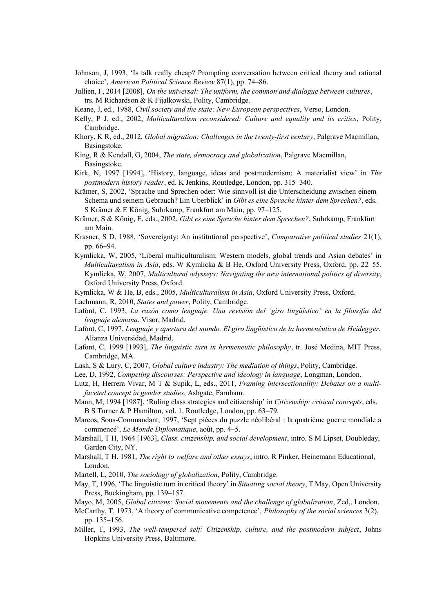- Johnson, J, 1993, 'Is talk really cheap? Prompting conversation between critical theory and rational choice', *American Political Science Review* 87(1), pp. 74–86.
- Jullien, F, 2014 [2008], *On the universal: The uniform, the common and dialogue between cultures*, trs. M Richardson & K Fijalkowski, Polity, Cambridge.
- Keane, J, ed., 1988, *Civil society and the state: New European perspectives*, Verso, London.
- Kelly, P J, ed., 2002, *Multiculturalism reconsidered: Culture and equality and its critics*, Polity, Cambridge.
- Khory, K R, ed., 2012, *Global migration: Challenges in the twenty-first century*, Palgrave Macmillan, Basingstoke.
- King, R & Kendall, G, 2004, *The state, democracy and globalization*, Palgrave Macmillan, Basingstoke.
- Kirk, N, 1997 [1994], 'History, language, ideas and postmodernism: A materialist view' in *The postmodern history reader*, ed. K Jenkins, Routledge, London, pp. 315–340.
- Krämer, S, 2002, 'Sprache und Sprechen oder: Wie sinnvoll ist die Unterscheidung zwischen einem Schema und seinem Gebrauch? Ein Überblick' in *Gibt es eine Sprache hinter dem Sprechen?*, eds. S Krämer & E König, Suhrkamp, Frankfurt am Main, pp. 97–125.
- Krämer, S & König, E, eds., 2002, *Gibt es eine Sprache hinter dem Sprechen?*, Suhrkamp, Frankfurt am Main.
- Krasner, S D, 1988, 'Sovereignty: An institutional perspective', *Comparative political studies* 21(1), pp. 66–94.
- Kymlicka, W, 2005, 'Liberal multiculturalism: Western models, global trends and Asian debates' in *Multiculturalism in Asia*, eds. W Kymlicka & B He, Oxford University Press, Oxford, pp. 22–55. Kymlicka, W, 2007, *Multicultural odysseys: Navigating the new international politics of diversity*, Oxford University Press, Oxford.
- Kymlicka, W & He, B, eds., 2005, *Multiculturalism in Asia*, Oxford University Press, Oxford.

Lachmann, R, 2010, *States and power*, Polity, Cambridge.

- Lafont, C, 1993, *La razón como lenguaje. Una revisión del 'giro lingüístico' en la filosofía del lenguaje alemana*, Visor, Madrid.
- Lafont, C, 1997, *Lenguaje y apertura del mundo. El giro lingüístico de la hermenéutica de Heidegger*, Alianza Universidad, Madrid.
- Lafont, C, 1999 [1993], *The linguistic turn in hermeneutic philosophy*, tr. José Medina, MIT Press, Cambridge, MA.
- Lash, S & Lury, C, 2007, *Global culture industry: The mediation of things*, Polity, Cambridge.
- Lee, D, 1992, *Competing discourses: Perspective and ideology in language*, Longman, London.
- Lutz, H, Herrera Vivar, M T & Supik, L, eds., 2011, *Framing intersectionality: Debates on a multifaceted concept in gender studies*, Ashgate, Farnham.
- Mann, M, 1994 [1987], 'Ruling class strategies and citizenship' in *Citizenship: critical concepts*, eds. B S Turner & P Hamilton, vol. 1, Routledge, London, pp. 63–79.
- Marcos, Sous-Commandant, 1997, 'Sept pièces du puzzle néolibéral : la quatrième guerre mondiale a commencé', *Le Monde Diplomatique*, août, pp. 4–5.
- Marshall, T H, 1964 [1963], *Class, citizenship, and social development*, intro. S M Lipset, Doubleday, Garden City, NY.
- Marshall, T H, 1981, *The right to welfare and other essays*, intro. R Pinker, Heinemann Educational, London.
- Martell, L, 2010, *The sociology of globalization*, Polity, Cambridge.
- May, T, 1996, 'The linguistic turn in critical theory' in *Situating social theory*, T May, Open University Press, Buckingham, pp. 139–157.
- Mayo, M, 2005, *Global citizens: Social movements and the challenge of globalization*, Zed,. London.
- McCarthy, T, 1973, 'A theory of communicative competence', *Philosophy of the social sciences* 3(2), pp. 135–156.
- Miller, T, 1993, *The well-tempered self: Citizenship, culture, and the postmodern subject*, Johns Hopkins University Press, Baltimore.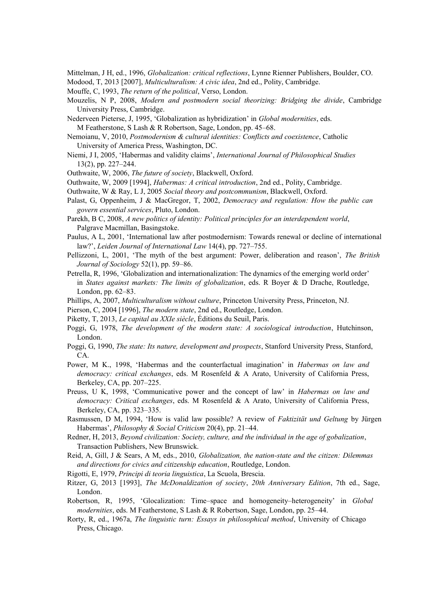Mittelman, J H, ed., 1996, *Globalization: critical reflections*, Lynne Rienner Publishers, Boulder, CO.

- Modood, T, 2013 [2007], *Multiculturalism: A civic idea*, 2nd ed., Polity, Cambridge.
- Mouffe, C, 1993, *The return of the political*, Verso, London.
- Mouzelis, N P, 2008, *Modern and postmodern social theorizing: Bridging the divide*, Cambridge University Press, Cambridge.
- Nederveen Pieterse, J, 1995, 'Globalization as hybridization' in *Global modernities*, eds. M Featherstone, S Lash & R Robertson, Sage, London, pp. 45–68.
- Nemoianu, V, 2010, *Postmodernism & cultural identities: Conflicts and coexistence*, Catholic University of America Press, Washington, DC.
- Niemi, J I, 2005, 'Habermas and validity claims', *International Journal of Philosophical Studies* 13(2), pp. 227–244.
- Outhwaite, W, 2006, *The future of society*, Blackwell, Oxford.
- Outhwaite, W, 2009 [1994], *Habermas: A critical introduction*, 2nd ed., Polity, Cambridge.
- Outhwaite, W & Ray, L J, 2005 *Social theory and postcommunism*, Blackwell, Oxford.
- Palast, G, Oppenheim, J & MacGregor, T, 2002, *Democracy and regulation: How the public can govern essential services*, Pluto, London.
- Parekh, B C, 2008, *A new politics of identity: Political principles for an interdependent world*, Palgrave Macmillan, Basingstoke.
- Paulus, A L, 2001, 'International law after postmodernism: Towards renewal or decline of international law?', *Leiden Journal of International Law* 14(4), pp. 727–755.
- Pellizzoni, L, 2001, 'The myth of the best argument: Power, deliberation and reason', *The British Journal of Sociology* 52(1), pp. 59–86.
- Petrella, R, 1996, 'Globalization and internationalization: The dynamics of the emerging world order' in *States against markets: The limits of globalization*, eds. R Boyer & D Drache, Routledge, London, pp. 62–83.
- Phillips, A, 2007, *Multiculturalism without culture*, Princeton University Press, Princeton, NJ.
- Pierson, C, 2004 [1996], *The modern state*, 2nd ed., Routledge, London.
- Piketty, T, 2013, *Le capital au XXIe siècle*, Éditions du Seuil, Paris.
- Poggi, G, 1978, *The development of the modern state: A sociological introduction*, Hutchinson, London.
- Poggi, G, 1990, *The state: Its nature, development and prospects*, Stanford University Press, Stanford, CA.
- Power, M K., 1998, 'Habermas and the counterfactual imagination' in *Habermas on law and democracy: critical exchanges*, eds. M Rosenfeld & A Arato, University of California Press, Berkeley, CA, pp. 207–225.
- Preuss, U K, 1998, 'Communicative power and the concept of law' in *Habermas on law and democracy: Critical exchanges*, eds. M Rosenfeld & A Arato, University of California Press, Berkeley, CA, pp. 323–335.
- Rasmussen, D M, 1994, 'How is valid law possible? A review of *Faktizität und Geltung* by Jürgen Habermas', *Philosophy & Social Criticism* 20(4), pp. 21–44.
- Redner, H, 2013, *Beyond civilization: Society, culture, and the individual in the age of gobalization*, Transaction Publishers, New Brunswick.
- Reid, A, Gill, J & Sears, A M, eds., 2010, *Globalization, the nation-state and the citizen: Dilemmas and directions for civics and citizenship education*, Routledge, London.
- Rigotti, E, 1979, *Principi di teoria linguistica*, La Scuola, Brescia.
- Ritzer, G, 2013 [1993], *The McDonaldization of society*, *20th Anniversary Edition*, 7th ed., Sage, London.
- Robertson, R, 1995, 'Glocalization: Time–space and homogeneity–heterogeneity' in *Global modernities*, eds. M Featherstone, S Lash & R Robertson, Sage, London, pp. 25–44.
- Rorty, R, ed., 1967a, *The linguistic turn: Essays in philosophical method*, University of Chicago Press, Chicago.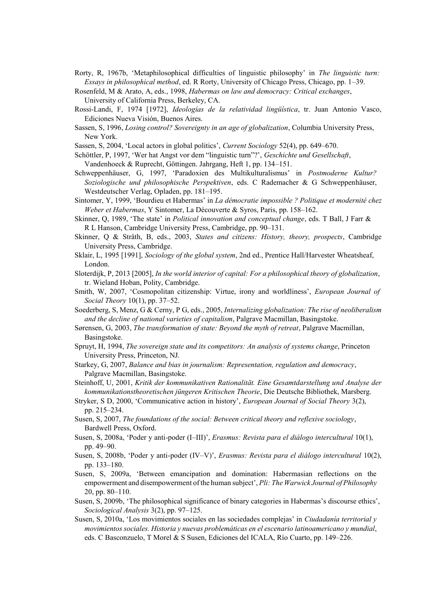- Rorty, R, 1967b, 'Metaphilosophical difficulties of linguistic philosophy' in *The linguistic turn: Essays in philosophical method*, ed. R Rorty, University of Chicago Press, Chicago, pp. 1–39.
- Rosenfeld, M & Arato, A, eds., 1998, *Habermas on law and democracy: Critical exchanges*, University of California Press, Berkeley, CA.
- Rossi-Landi, F, 1974 [1972], *Ideologías de la relatividad lingüística*, tr. Juan Antonio Vasco, Ediciones Nueva Visión, Buenos Aires.
- Sassen, S, 1996, *Losing control? Sovereignty in an age of globalization*, Columbia University Press, New York.
- Sassen, S, 2004, 'Local actors in global politics', *Current Sociology* 52(4), pp. 649–670.
- Schöttler, P, 1997, 'Wer hat Angst vor dem "linguistic turn"?', *Geschichte und Gesellschaft*, Vandenhoeck & Ruprecht, Göttingen. Jahrgang, Heft 1, pp. 134–151.
- Schweppenhäuser, G, 1997, 'Paradoxien des Multikulturalismus' in *Postmoderne Kultur? Soziologische und philosophische Perspektiven*, eds. C Rademacher & G Schweppenhäuser, Westdeutscher Verlag, Opladen, pp. 181–195.
- Sintomer, Y, 1999, 'Bourdieu et Habermas' in *La démocratie impossible ? Politique et modernité chez Weber et Habermas*, Y Sintomer, La Découverte & Syros, Paris, pp. 158–162.
- Skinner, Q, 1989, 'The state' in *Political innovation and conceptual change*, eds. T Ball, J Farr & R L Hanson, Cambridge University Press, Cambridge, pp. 90–131.
- Skinner, Q & Stråth, B, eds., 2003, *States and citizens: History, theory, prospects*, Cambridge University Press, Cambridge.
- Sklair, L, 1995 [1991], *Sociology of the global system*, 2nd ed., Prentice Hall/Harvester Wheatsheaf, London.
- Sloterdijk, P, 2013 [2005], *In the world interior of capital: For a philosophical theory of globalization*, tr. Wieland Hoban, Polity, Cambridge.
- Smith, W, 2007, 'Cosmopolitan citizenship: Virtue, irony and worldliness', *European Journal of Social Theory* 10(1), pp. 37–52.
- Soederberg, S, Menz, G & Cerny, P G, eds., 2005, *Internalizing globalization: The rise of neoliberalism and the decline of national varieties of capitalism*, Palgrave Macmillan, Basingstoke.
- Sørensen, G, 2003, *The transformation of state: Beyond the myth of retreat*, Palgrave Macmillan, Basingstoke.
- Spruyt, H, 1994, *The sovereign state and its competitors: An analysis of systems change*, Princeton University Press, Princeton, NJ.
- Starkey, G, 2007, *Balance and bias in journalism: Representation, regulation and democracy*, Palgrave Macmillan, Basingstoke.
- Steinhoff, U, 2001, *Kritik der kommunikativen Rationalität. Eine Gesamtdarstellung und Analyse der kommunikationstheoretischen jüngeren Kritischen Theorie*, Die Deutsche Bibliothek, Marsberg.
- Stryker, S D, 2000, 'Communicative action in history', *European Journal of Social Theory* 3(2), pp. 215–234.
- Susen, S, 2007, *The foundations of the social: Between critical theory and reflexive sociology*, Bardwell Press, Oxford.
- Susen, S, 2008a, 'Poder y anti-poder (I–III)', *Erasmus: Revista para el diálogo intercultural* 10(1), pp. 49–90.
- Susen, S, 2008b, 'Poder y anti-poder (IV–V)', *Erasmus: Revista para el diálogo intercultural* 10(2), pp. 133–180.
- Susen, S, 2009a, 'Between emancipation and domination: Habermasian reflections on the empowerment and disempowerment ofthe human subject', *Pli: The Warwick Journal of Philosophy*  20, pp. 80–110.
- Susen, S, 2009b, 'The philosophical significance of binary categories in Habermas's discourse ethics', *Sociological Analysis* 3(2), pp. 97–125.
- Susen, S, 2010a, 'Los movimientos sociales en las sociedades complejas' in *Ciudadanía territorial y movimientos sociales. Historia y nuevas problemáticas en el escenario latinoamericano y mundial*, eds. C Basconzuelo, T Morel & S Susen, Ediciones del ICALA, Río Cuarto, pp. 149–226.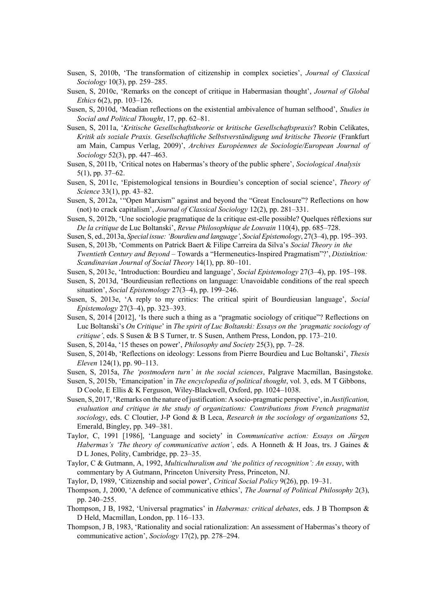- Susen, S, 2010b, 'The transformation of citizenship in complex societies', *Journal of Classical Sociology* 10(3), pp. 259–285.
- Susen, S, 2010c, 'Remarks on the concept of critique in Habermasian thought', *Journal of Global Ethics* 6(2), pp. 103–126.
- Susen, S, 2010d, 'Meadian reflections on the existential ambivalence of human selfhood', *Studies in Social and Political Thought*, 17, pp. 62–81.
- Susen, S, 2011a, '*Kritische Gesellschaftstheorie* or *kritische Gesellschaftspraxis*? Robin Celikates, *Kritik als soziale Praxis. Gesellschaftliche Selbstverständigung und kritische Theorie* (Frankfurt am Main, Campus Verlag, 2009)', *Archives Européennes de Sociologie/European Journal of Sociology* 52(3), pp. 447–463.
- Susen, S, 2011b, 'Critical notes on Habermas's theory of the public sphere', *Sociological Analysis* 5(1), pp. 37–62.
- Susen, S, 2011c, 'Epistemological tensions in Bourdieu's conception of social science', *Theory of Science* 33(1), pp. 43–82.
- Susen, S, 2012a, "Open Marxism" against and beyond the "Great Enclosure"? Reflections on how (not) to crack capitalism', *Journal of Classical Sociology* 12(2), pp. 281–331.
- Susen, S, 2012b, 'Une sociologie pragmatique de la critique est-elle possible? Quelques réflexions sur *De la critique* de Luc Boltanski', *Revue Philosophique de Louvain* 110(4), pp. 685–728.
- Susen, S, ed., 2013a, *Special issue:'Bourdieu and language'*, *Social Epistemology*, 27(3–4), pp. 195–393.
- Susen, S, 2013b, 'Comments on Patrick Baert & Filipe Carreira da Silva's *Social Theory in the Twentieth Century and Beyond* – Towards a "Hermeneutics-Inspired Pragmatism"?', *Distinktion: Scandinavian Journal of Social Theory* 14(1), pp. 80–101.
- Susen, S, 2013c, 'Introduction: Bourdieu and language', *Social Epistemology* 27(3–4), pp. 195–198.
- Susen, S, 2013d, 'Bourdieusian reflections on language: Unavoidable conditions of the real speech situation', *Social Epistemology* 27(3–4), pp. 199–246.
- Susen, S, 2013e, 'A reply to my critics: The critical spirit of Bourdieusian language', *Social Epistemology* 27(3–4), pp. 323–393.
- Susen, S, 2014 [2012], 'Is there such a thing as a "pragmatic sociology of critique"? Reflections on Luc Boltanski's *On Critique*' in *The spirit of Luc Boltanski: Essays on the 'pragmatic sociology of critique'*, eds. S Susen & B S Turner, tr. S Susen, Anthem Press, London, pp. 173–210.
- Susen, S, 2014a, '15 theses on power', *Philosophy and Society* 25(3), pp. 7–28.
- Susen, S, 2014b, 'Reflections on ideology: Lessons from Pierre Bourdieu and Luc Boltanski', *Thesis Eleven* 124(1), pp. 90–113.

Susen, S, 2015a, *The 'postmodern turn' in the social sciences*, Palgrave Macmillan, Basingstoke.

- Susen, S, 2015b, 'Emancipation' in *The encyclopedia of political thought*, vol. 3, eds. M T Gibbons, D Coole, E Ellis & K Ferguson, Wiley-Blackwell, Oxford, pp. 1024–1038.
- Susen, S, 2017, 'Remarks on the nature of justification: A socio-pragmatic perspective', in *Justification*, *evaluation and critique in the study of organizations: Contributions from French pragmatist sociology*, eds. C Cloutier, J-P Gond & B Leca, *Research in the sociology of organizations* 52, Emerald, Bingley, pp. 349–381.
- Taylor, C, 1991 [1986], 'Language and society' in *Communicative action: Essays on Jürgen Habermas's 'The theory of communicative action'*, eds. A Honneth & H Joas, trs. J Gaines & D L Jones, Polity, Cambridge, pp. 23–35.
- Taylor, C & Gutmann, A, 1992, *Multiculturalism and 'the politics of recognition': An essay*, with commentary by A Gutmann, Princeton University Press, Princeton, NJ.
- Taylor, D, 1989, 'Citizenship and social power', *Critical Social Policy* 9(26), pp. 19–31.
- Thompson, J, 2000, 'A defence of communicative ethics', *The Journal of Political Philosophy* 2(3), pp. 240–255.
- Thompson, J B, 1982, 'Universal pragmatics' in *Habermas: critical debates*, eds. J B Thompson & D Held, Macmillan, London, pp. 116–133.
- Thompson, J B, 1983, 'Rationality and social rationalization: An assessment of Habermas's theory of communicative action', *Sociology* 17(2), pp. 278–294.